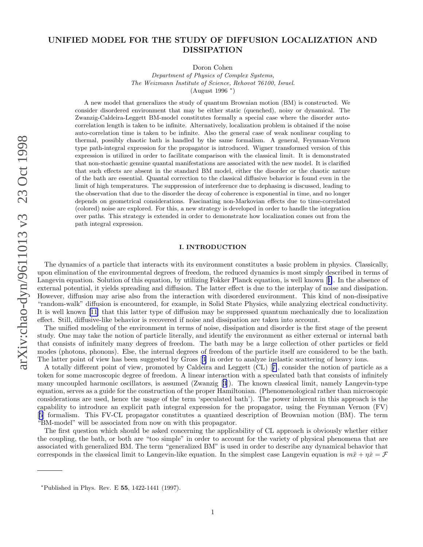# UNIFIED MODEL FOR THE STUD Y OF DIFFUSION LOCALIZATION AND DISSIPATION

Doron Cohen

Department of Physics of Complex Systems, The Weizmann Institute of Science, Rehovot 76100, Israel. (August 1996 ∗ )

A new model that generalizes the study of quantum Brownian motion (BM) is constructed. We consider disordered environmen t that may b e either static (quenched), noisy or dynamical. The Zwanzig-Caldeira-Leggett BM-model constitutes formally a special case where the disorder autocorrelation length is taken to be infinite. Alternatively, localization problem is obtained if the noise auto-correlation time is taken to b e infinite. Also the general case of weak nonlinear coupling to thermal, possibly chaotic bath is handled b y the same formalism. A general, Feynman-Vernon type path-integral expression for the propagator is introduced. Wigner transformed version of this expression is utilized in order to facilitate comparison with the classical limit. It is demonstrated that non-sto chastic genuine quantal manifestations are associated with the new model. It is clarified that suc h effects are absen t in the standard BM model, either the disorder or the chaotic nature of the bath are essential. Quantal correction to the classical diffusiv e behavior is found even in the limit of high temperatures. The suppression of interference due to dephasing is discussed, leading to the observation that due to the disorder the decay of coherence is exponential in time, and no longer depends on geometrical considerations. Fascinating non-Mark ovian effects due to time-correlated (colored) noise are explored. For this, a new strategy is developed in order to handle the integration o ver paths. This strategy is extended in order to demonstrate ho w localization comes out from the path integral expression.

# I. INTRODUCTION

The dynamics of a particle that interacts with its environmen t constitutes a basic problem in physics. Classically , upon elimination of the environmental degrees of freedom, the reduced dynamics is most simply described in terms of Langevin equation. Solution of this equation, by utilizing Fokker Planck equation, is well known [[1\]](#page-25-0). In the absence of external potential, it yields spreading and diffusion. The latter effect is due to the interpla y of noise and dissipation. However, diffusion may arise also from the interaction with disordered environment. This kind of non-dissipative "random-walk" diffusion is encountered, for example, in Solid State Physics, while analyzing electrical conductivit y . It is well known [[11](#page-25-0) ] that this latter typ e of diffusion ma y b e suppressed quantum mechanically due to localization effect. Still, diffusive-lik e behavior is reco vered if noise and dissipation are taken into account.

The unified modeling of the environment in terms of noise, dissipation and disorder is the first stage of the present study . One ma y tak e the notion of particle literally , and identify the environmen t as either external or internal bath that consists of infinitely man y degrees of freedom. The bath ma y b e a large collection of other particles or field modes (photons, phonons). Else, the internal degrees of freedom of the particle itself are considered to be the bath. The latter poin t of view has been suggested b y Gross [[3](#page-25-0) ] in order to analyze inelastic scattering of heavy ions.

A totally different point of view, promoted by Caldeira and Leggett (CL) [[7\]](#page-25-0), consider the notion of particle as a token for some macroscopic degree of freedom. A linear interaction with a speculated bath that consists of infinitely man y uncoupled harmonic oscillators, is assumed (Zwanzig [\[3](#page-25-0)]). The known classical limit, namely Langevin-typ e equation, serves as a guide for the construction of the proper Hamiltonian. (Phenomenological rather than microscopic considerations are used, hence the usage of the term 'speculated bath'). The p o wer inheren t in this approac h is the capabilit y to introduce an explicit path integral expression for the propagator, using the Feynman Vernon (FV) [[5](#page-25-0) ] formalism. This FV-CL propagator constitutes a quantized description of Brownian motion (BM). The term "BM-model" will b e associated from no w on with this propagator.

The first question whic h should b e asked concerning the applicabilit y of CL approac h is obviously whether either the coupling, the bath, or both are "too simple" in order to account for the variety of physical phenomena that are associated with generalized BM. The term "generalized BM" is used in order to describ e an y dynamical behavior that corresponds in the classical limit to Langevin-like equation. In the simplest case Langevin equation is  $m\ddot{x} + \eta \dot{x} = \mathcal{F}$ 

<sup>∗</sup>Published in Phys. Rev. E 55 , 1422-1441 (1997).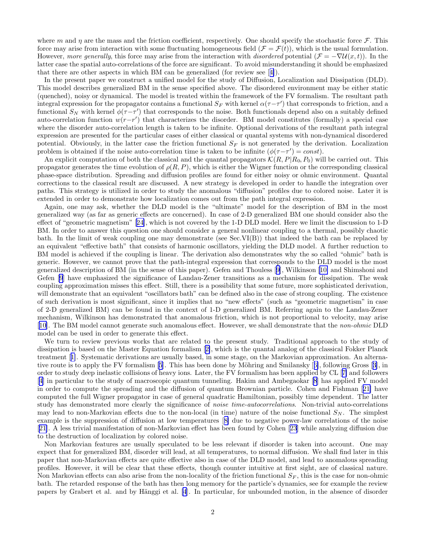where m and  $\eta$  are the mass and the friction coefficient, respectively. One should specify the stochastic force  $\mathcal F$ . This force may arise from interaction with some fluctuating homogeneous field  $(\mathcal{F} = \mathcal{F}(t))$ , which is the usual formulation. However, more generally, this force may arise from the interaction with disordered potential ( $\mathcal{F} = -\nabla \mathcal{U}(x,t)$ ). In the latter case the spatial auto-correlations of the force are significant. To avoid misunderstanding it should be emphasized that there are other aspects in which BM can be generalized (for review see [[4\]](#page-25-0)).

In the present paper we construct a unified model for the study of Diffusion, Localization and Dissipation (DLD). This model describes generalized BM in the sense specified above. The disordered environment may be either static (quenched), noisy or dynamical. The model is treated within the framework of the FV formalism. The resultant path integral expression for the propagator contains a functional  $S_F$  with kernel  $\alpha(\tau-\tau')$  that corresponds to friction, and a functional  $S_N$  with kernel  $\phi(\tau-\tau')$  that corresponds to the noise. Both functionals depend also on a suitably defined auto-correlation function  $w(r-r')$  that characterizes the disorder. BM model constitutes (formally) a special case where the disorder auto-correlation length is taken to be infinite. Optional derivations of the resultant path integral expression are presented for the particular cases of either classical or quantal systems with non-dynamical disordered potential. Obviously, in the latter case the friction functional  $S_F$  is not generated by the derivation. Localization problem is obtained if the noise auto-correlation time is taken to be infinite  $(\phi(\tau-\tau')=const)$ .

An explicit computation of both the classical and the quantal propagators  $\mathcal{K}(R, P|R_0, P_0)$  will be carried out. This propagator generates the time evolution of  $\rho(R, P)$ , which is either the Wigner function or the corresponding classical phase-space distribution. Spreading and diffusion profiles are found for either noisy or ohmic environment. Quantal corrections to the classical result are discussed. A new strategy is developed in order to handle the integration over paths. This strategy is utilized in order to study the anomalous "diffusion" profiles due to colored noise. Later it is extended in order to demonstrate how localization comes out from the path integral expression.

Again, one may ask, whether the DLD model is the "ultimate" model for the description of BM in the most generalized way (as far as generic effects are concerned). In case of 2-D generalized BM one should consider also the effect of "geometric magnetism" [[24\]](#page-25-0), which is not covered by the 1-D DLD model. Here we limit the discussion to 1-D BM. In order to answer this question one should consider a general nonlinear coupling to a thermal, possibly chaotic bath. In the limit of weak coupling one may demonstrate (see Sec.VI(B)) that indeed the bath can be replaced by an equivalent "effective bath" that consists of harmonic oscillators, yielding the DLD model. A further reduction to BM model is achieved if the coupling is linear. The derivation also demonstrates why the so called "ohmic" bath is generic. However, we cannot prove that the path-integral expression that corresponds to the DLD model is the most generalized description of BM (in the sense of this paper). Gefen and Thouless [\[9](#page-25-0)], Wilkinson [\[10\]](#page-25-0) and Shimshoni and Gefen [\[9](#page-25-0)] have emphasized the significance of Landau-Zener transitions as a mechanism for dissipation. The weak coupling approximation misses this effect. Still, there is a possibility that some future, more sophisticated derivation, will demonstrate that an equivalent "oscillators bath" can be defined also in the case of strong coupling. The existence of such derivation is most significant, since it implies that no "new effects" (such as "geometric magnetism" in case of 2-D generalized BM) can be found in the context of 1-D generalized BM. Referring again to the Landau-Zener mechanism, Wilkinson has demonstrated that anomalous friction, which is not proportional to velocity, may arise [[10\]](#page-25-0). The BM model cannot generate such anomalous effect. However, we shall demonstrate that the non-ohmic DLD model can be used in order to generate this effect.

We turn to review previous works that are related to the present study. Traditional approach to the study of dissipation is based on the Master Equation formalism [[2\]](#page-25-0), which is the quantal analog of the classical Fokker Planck treatment [[1\]](#page-25-0). Systematic derivations are usually based, in some stage, on the Markovian approximation. An alternative route is to apply the FV formalism  $[5]$  $[5]$ . This has been done by Möhring and Smilansky  $[6]$  $[6]$ , following Gross  $[3]$  $[3]$ , in order to study deep inelastic collisions of heavy ions. Later, the FV formalism has been applied by CL [[7\]](#page-25-0) and followers [[4\]](#page-25-0) in particular to the study of macroscopic quantum tunneling. Hakim and Ambegaokar [[8](#page-25-0)] has applied FV model in order to compute the spreading and the diffusion of quantum Brownian particle. Cohen and Fishman [[21\]](#page-25-0) have computed the full Wigner propagator in case of general quadratic Hamiltonian, possibly time dependent. The latter study has demonstrated more clearly the significance of *noise time-autocorrelations*. Non-trivial auto-correlations may lead to non-Markovian effects due to the non-local (in time) nature of the noise functional  $S_N$ . The simplest example is the suppression of diffusion at low temperatures [[8\]](#page-25-0) due to negative power-law correlations of the noise [[21\]](#page-25-0). A less trivial manifestation of non-Markovian effect has been found by Cohen [[23\]](#page-25-0) while analyzing diffusion due to the destruction of localization by colored noise.

Non Markovian features are usually speculated to be less relevant if disorder is taken into account. One may expect that for generalized BM, disorder will lead, at all temperatures, to normal diffusion. We shall find later in this paper that non-Markovian effects are quite effective also in case of the DLD model, and lead to anomalous spreading profiles. However, it will be clear that these effects, though counter intuitive at first sight, are of classical nature. Non Markovian effects can also arise from the non-locality of the friction functional  $S_F$ , this is the case for non-ohmic bath. The retarded response of the bath has then long memory for the particle's dynamics, see for example the review papers by Grabert et al. and by Hänggi et al. [\[4](#page-25-0)]. In particular, for unbounded motion, in the absence of disorder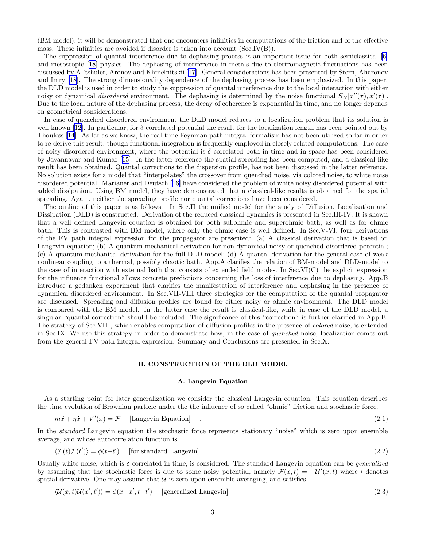<span id="page-2-0"></span>(BM model), it will be demonstrated that one encounters infinities in computations of the friction and of the effective mass. These infinities are avoided if disorder is taken into account (Sec.IV(B)).

The suppression of quantal interference due to dephasing process is an important issue for both semiclassical [\[6](#page-25-0)] and mesoscopic [[18\]](#page-25-0) physics. The dephasing of interference in metals due to electromagnetic fluctuations has been discussed by Al'tshuler, Aronov and Khmelnitskii [[17\]](#page-25-0). General considerations has been presented by Stern, Aharonov and Imry [\[18](#page-25-0)]. The strong dimensionality dependence of the dephasing process has been emphasized. In this paper, the DLD model is used in order to study the suppression of quantal interference due to the local interaction with either noisy or dynamical *disordered* environment. The dephasing is determined by the noise functional  $S_N[x''(\tau), x'(\tau)].$ Due to the local nature of the dephasing process, the decay of coherence is exponential in time, and no longer depends on geometrical considerations.

In case of quenched disordered environment the DLD model reduces to a localization problem that its solution is well known [[12](#page-25-0)]. In particular, for  $\delta$  correlated potential the result for the localization length has been pointed out by Thouless [\[14](#page-25-0)]. As far as we know, the real-time Feynman path integral formalism has not been utilized so far in order to re-derive this result, though functional integration is frequently employed in closely related computations. The case of noisy disordered environment, where the potential is  $\delta$  correlated both in time and in space has been considered by Jayannavar and Kumar [[15\]](#page-25-0). In the latter reference the spatial spreading has been computed, and a classical-like result has been obtained. Quantal corrections to the dispersion profile, has not been discussed in the latter reference. No solution exists for a model that "interpolates" the crossover from quenched noise, via colored noise, to white noise disordered potential. Marianer and Deutsch [[16\]](#page-25-0) have considered the problem of white noisy disordered potential with added dissipation. Using BM model, they have demonstrated that a classical-like results is obtained for the spatial spreading. Again, neither the spreading profile nor quantal corrections have been considered.

The outline of this paper is as follows: In Sec.II the unified model for the study of Diffusion, Localization and Dissipation (DLD) is constructed. Derivation of the reduced classical dynamics is presented in Sec.III-IV. It is shown that a well defined Langevin equation is obtained for both subohmic and superohmic bath, as well as for ohmic bath. This is contrasted with BM model, where only the ohmic case is well defined. In Sec.V-VI, four derivations of the FV path integral expression for the propagator are presented: (a) A classical derivation that is based on Langevin equation; (b) A quantum mechanical derivation for non-dynamical noisy or quenched disordered potential; (c) A quantum mechanical derivation for the full DLD model; (d) A quantal derivation for the general case of weak nonlinear coupling to a thermal, possibly chaotic bath. App.A clarifies the relation of BM-model and DLD-model to the case of interaction with external bath that consists of extended field modes. In Sec.VI(C) the explicit expression for the influence functional allows concrete predictions concerning the loss of interference due to dephasing. App.B introduce a gedanken experiment that clarifies the manifestation of interference and dephasing in the presence of dynamical disordered environment. In Sec.VII-VIII three strategies for the computation of the quantal propagator are discussed. Spreading and diffusion profiles are found for either noisy or ohmic environment. The DLD model is compared with the BM model. In the latter case the result is classical-like, while in case of the DLD model, a singular "quantal correction" should be included. The significance of this "correction" is further clarified in App.B. The strategy of Sec.VIII, which enables computation of diffusion profiles in the presence of colored noise, is extended in Sec.IX. We use this strategy in order to demonstrate how, in the case of quenched noise, localization comes out from the general FV path integral expression. Summary and Conclusions are presented in Sec.X.

### II. CONSTRUCTION OF THE DLD MODEL

#### A. Langevin Equation

As a starting point for later generalization we consider the classical Langevin equation. This equation describes the time evolution of Brownian particle under the the influence of so called "ohmic" friction and stochastic force.

$$
m\ddot{x} + \eta \dot{x} + V'(x) = \mathcal{F} \qquad \text{[Langevin Equation]} \tag{2.1}
$$

In the standard Langevin equation the stochastic force represents stationary "noise" which is zero upon ensemble average, and whose autocorrelation function is

$$
\langle \mathcal{F}(t)\mathcal{F}(t')\rangle = \phi(t-t') \quad \text{[for standard Langevin]}.
$$
\n(2.2)

Usually white noise, which is  $\delta$  correlated in time, is considered. The standard Langevin equation can be *generalized* by assuming that the stochastic force is due to some noisy potential, namely  $\mathcal{F}(x,t) = -\mathcal{U}'(x,t)$  where *l* denotes spatial derivative. One may assume that  $\mathcal U$  is zero upon ensemble averaging, and satisfies

$$
\langle \mathcal{U}(x,t)\mathcal{U}(x',t')\rangle = \phi(x-x',t-t') \qquad \text{[generalized Langevin]} \tag{2.3}
$$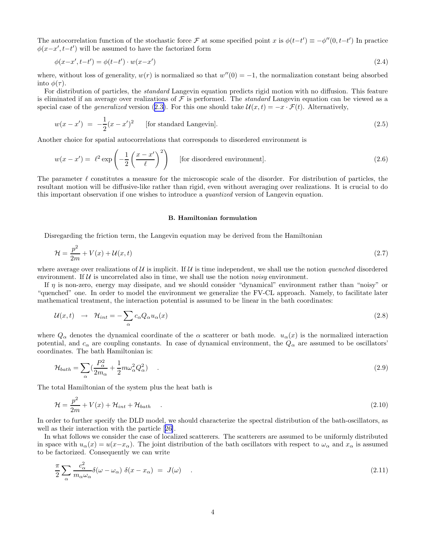<span id="page-3-0"></span>The autocorrelation function of the stochastic force  $\mathcal F$  at some specified point x is  $\phi(t-t') \equiv -\phi''(0,t-t')$  In practice  $\phi(x-x',t-t')$  will be assumed to have the factorized form

$$
\phi(x - x', t - t') = \phi(t - t') \cdot w(x - x')
$$
\n(2.4)

where, without loss of generality,  $w(r)$  is normalized so that  $w''(0) = -1$ , the normalization constant being absorbed into  $\phi(\tau)$ .

For distribution of particles, the *standard* Langevin equation predicts rigid motion with no diffusion. This feature is eliminated if an average over realizations of  $\mathcal F$  is performed. The *standard* Langevin equation can be viewed as a special case of the *generalized* version ([2.3\)](#page-2-0). For this one should take  $\mathcal{U}(x,t) = -x \cdot \mathcal{F}(t)$ . Alternatively,

$$
w(x - x') = -\frac{1}{2}(x - x')^{2}
$$
 [for standard Langevin]. (2.5)

Another choice for spatial autocorrelations that corresponds to disordered environment is

$$
w(x - x') = \ell^2 \exp\left(-\frac{1}{2}\left(\frac{x - x'}{\ell}\right)^2\right) \quad \text{[for disordered environment]}.
$$
\n(2.6)

The parameter  $\ell$  constitutes a measure for the microscopic scale of the disorder. For distribution of particles, the resultant motion will be diffusive-like rather than rigid, even without averaging over realizations. It is crucial to do this important observation if one wishes to introduce a *quantized* version of Langevin equation.

#### B. Hamiltonian formulation

Disregarding the friction term, the Langevin equation may be derived from the Hamiltonian

$$
\mathcal{H} = \frac{p^2}{2m} + V(x) + \mathcal{U}(x, t) \tag{2.7}
$$

where average over realizations of  $U$  is implicit. If  $U$  is time independent, we shall use the notion *quenched* disordered environment. If  $\mathcal U$  is uncorrelated also in time, we shall use the notion *noisy* environment.

If  $\eta$  is non-zero, energy may dissipate, and we should consider "dynamical" environment rather than "noisy" or "quenched" one. In order to model the environment we generalize the FV-CL approach. Namely, to facilitate later mathematical treatment, the interaction potential is assumed to be linear in the bath coordinates:

$$
\mathcal{U}(x,t) \rightarrow \mathcal{H}_{int} = -\sum_{\alpha} c_{\alpha} Q_{\alpha} u_{\alpha}(x) \tag{2.8}
$$

where  $Q_{\alpha}$  denotes the dynamical coordinate of the  $\alpha$  scatterer or bath mode.  $u_{\alpha}(x)$  is the normalized interaction potential, and  $c_{\alpha}$  are coupling constants. In case of dynamical environment, the  $Q_{\alpha}$  are assumed to be oscillators' coordinates. The bath Hamiltonian is:

$$
\mathcal{H}_{bath} = \sum_{\alpha} \left( \frac{P_{\alpha}^2}{2m_{\alpha}} + \frac{1}{2} m \omega_{\alpha}^2 Q_{\alpha}^2 \right) \quad . \tag{2.9}
$$

The total Hamiltonian of the system plus the heat bath is

$$
\mathcal{H} = \frac{p^2}{2m} + V(x) + \mathcal{H}_{int} + \mathcal{H}_{bath} \tag{2.10}
$$

In order to further specify the DLD model, we should characterize the spectral distribution of the bath-oscillators, as well as their interaction with the particle [[26\]](#page-25-0).

In what follows we consider the case of localized scatterers. The scatterers are assumed to be uniformly distributed in space with  $u_{\alpha}(x) = u(x-x_{\alpha})$ . The joint distribution of the bath oscillators with respect to  $\omega_{\alpha}$  and  $x_{\alpha}$  is assumed to be factorized. Consequently we can write

$$
\frac{\pi}{2} \sum_{\alpha} \frac{c_{\alpha}^2}{m_{\alpha}\omega_{\alpha}} \delta(\omega - \omega_{\alpha}) \delta(x - x_{\alpha}) = J(\omega) \quad . \tag{2.11}
$$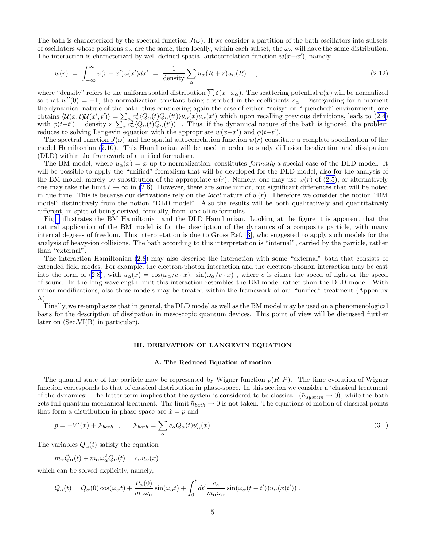<span id="page-4-0"></span>The bath is characterized by the spectral function  $J(\omega)$ . If we consider a partition of the bath oscillators into subsets of oscillators whose positions  $x_\alpha$  are the same, then locally, within each subset, the  $\omega_\alpha$  will have the same distribution. The interaction is characterized by well defined spatial autocorrelation function  $w(x-x')$ , namely

$$
w(r) = \int_{-\infty}^{\infty} u(r - x')u(x')dx' = \frac{1}{\text{density}} \sum_{\alpha} u_{\alpha}(R + r)u_{\alpha}(R) , \qquad (2.12)
$$

where "density" refers to the uniform spatial distribution  $\sum \delta(x-x_\alpha)$ . The scattering potential  $u(x)$  will be normalized so that  $w''(0) = -1$ , the normalization constant being absorbed in the coefficients  $c_{\alpha}$ . Disregarding for a moment the dynamical nature of the bath, thus considering again the case of either "noisy" or "quenched" environment, one obtains  $\langle U(x,t)U(x',t')\rangle = \sum_{\alpha,\alpha'}c_{\alpha}^{2}\langle Q_{\alpha}(t)Q_{\alpha}(t')\rangle u_{\alpha}(x)u_{\alpha}(x')$  which upon recalling previous definitions, leads to ([2.4](#page-3-0)) with  $\phi(t-t') =$  density  $\times \sum_{\alpha} c_{\alpha}^2 \langle Q_{\alpha}(t) Q_{\alpha}(t') \rangle'$ . Thus, if the dynamical nature of the bath is ignored, the problem reduces to solving Langevin equation with the appropriate  $w(x-x')$  and  $\phi(t-t')$ .

The spectral function  $J(\omega)$  and the spatial autocorrelation function  $w(r)$  constitute a complete specification of the model Hamiltonian ([2.10\)](#page-3-0). This Hamiltonian will be used in order to study diffusion localization and dissipation (DLD) within the framework of a unified formalism.

The BM model, where  $u_{\alpha}(x) = x$  up to normalization, constitutes formally a special case of the DLD model. It will be possible to apply the "unified" formalism that will be developed for the DLD model, also for the analysis of the BM model, merely by substitution of the appropriate  $w(r)$ . Namely, one may use  $w(r)$  of ([2.5\)](#page-3-0), or alternatively one may take the limit  $\ell \to \infty$  in [\(2.6](#page-3-0)). However, there are some minor, but significant differences that will be noted in due time. This is because our derivations rely on the *local* nature of  $w(r)$ . Therefore we consider the notion "BM model" distinctively from the notion "DLD model". Also the results will be both qualitatively and quantitatively different, in-spite of being derived, formally, from look-alike formulas.

Fig[.1](#page-5-0) illustrates the BM Hamiltonian and the DLD Hamiltonian. Looking at the figure it is apparent that the natural application of the BM model is for the description of the dynamics of a composite particle, with many internal degrees of freedom. This interpretation is due to Gross Ref. [[3\]](#page-25-0), who suggested to apply such models for the analysis of heavy-ion collisions. The bath according to this interpretation is "internal", carried by the particle, rather than "external".

The interaction Hamiltonian [\(2.8](#page-3-0)) may also describe the interaction with some "external" bath that consists of extended field modes. For example, the electron-photon interaction and the electron-phonon interaction may be cast into the form of [\(2.8](#page-3-0)), with  $u_{\alpha}(x) = \cos(\omega_{\alpha}/c \cdot x)$ ,  $\sin(\omega_{\alpha}/c \cdot x)$ , where c is either the speed of light or the speed of sound. In the long wavelength limit this interaction resembles the BM-model rather than the DLD-model. With minor modifications, also these models may be treated within the framework of our "unified" treatment (Appendix A).

Finally, we re-emphasize that in general, the DLD model as well as the BM model may be used on a phenomenological basis for the description of dissipation in mesoscopic quantum devices. This point of view will be discussed further later on (Sec.VI(B) in particular).

# III. DERIVATION OF LANGEVIN EQUATION

#### A. The Reduced Equation of motion

The quantal state of the particle may be represented by Wigner function  $\rho(R, P)$ . The time evolution of Wigner function corresponds to that of classical distribution in phase-space. In this section we consider a 'classical treatment of the dynamics'. The latter term implies that the system is considered to be classical,  $(\hbar_{system} \to 0)$ , while the bath gets full quantum mechanical treatment. The limit  $\hbar_{bath} \to 0$  is not taken. The equations of motion of classical points that form a distribution in phase-space are  $\dot{x} = p$  and

$$
\dot{p} = -V'(x) + \mathcal{F}_{bath} \quad , \qquad \mathcal{F}_{bath} = \sum_{\alpha} c_{\alpha} Q_{\alpha}(t) u'_{\alpha}(x) \quad . \tag{3.1}
$$

The variables  $Q_{\alpha}(t)$  satisfy the equation

$$
m_{\alpha}\ddot{Q}_{\alpha}(t) + m_{\alpha}\omega_{\alpha}^{2}Q_{\alpha}(t) = c_{\alpha}u_{\alpha}(x)
$$

which can be solved explicitly, namely,

$$
Q_{\alpha}(t) = Q_{\alpha}(0) \cos(\omega_{\alpha}t) + \frac{P_{\alpha}(0)}{m_{\alpha}\omega_{\alpha}} \sin(\omega_{\alpha}t) + \int_0^t dt' \frac{c_{\alpha}}{m_{\alpha}\omega_{\alpha}} \sin(\omega_{\alpha}(t-t'))u_{\alpha}(x(t')).
$$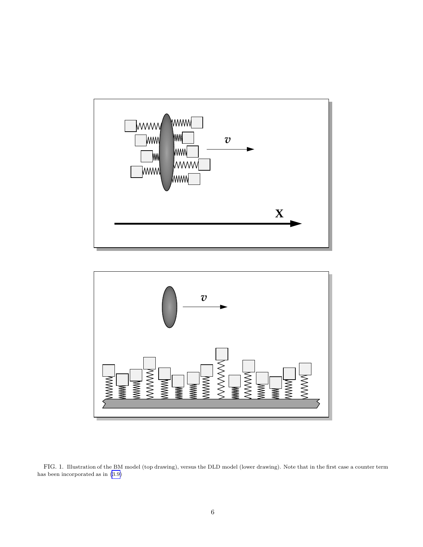<span id="page-5-0"></span>



FIG. 1. Illustration of the BM model (top drawing), versus the DLD model (lower drawing). Note that in the first case a counter term has been incorporated as in [\(3.9\)](#page-7-0)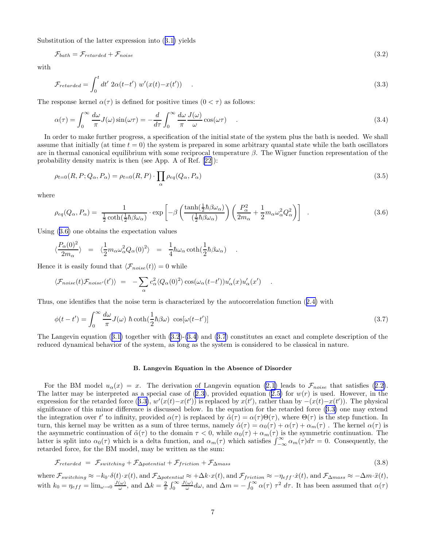<span id="page-6-0"></span>Substitution of the latter expression into ([3.1\)](#page-4-0) yields

$$
\mathcal{F}_{bath} = \mathcal{F}_{retarded} + \mathcal{F}_{noise} \tag{3.2}
$$

with

$$
\mathcal{F}_{retarded} = \int_0^t dt' \ 2\alpha(t - t') \ w'(x(t) - x(t')) \quad . \tag{3.3}
$$

The response kernel  $\alpha(\tau)$  is defined for positive times  $(0 < \tau)$  as follows:

$$
\alpha(\tau) = \int_0^\infty \frac{d\omega}{\pi} J(\omega) \sin(\omega \tau) = -\frac{d}{d\tau} \int_0^\infty \frac{d\omega}{\pi} \frac{J(\omega)}{\omega} \cos(\omega \tau) \quad . \tag{3.4}
$$

In order to make further progress, a specification of the initial state of the system plus the bath is needed. We shall assume that initially (at time  $t = 0$ ) the system is prepared in some arbitrary quantal state while the bath oscillators are in thermal canonical equilibrium with some reciprocal temperature  $\beta$ . The Wigner function representation of the probability density matrix is then (see App. A of Ref. [[22](#page-25-0)]):

$$
\rho_{t=0}(R, P; Q_{\alpha}, P_{\alpha}) = \rho_{t=0}(R, P) \cdot \prod_{\alpha} \rho_{eq}(Q_{\alpha}, P_{\alpha})
$$
\n(3.5)

where

$$
\rho_{eq}(Q_{\alpha}, P_{\alpha}) = \frac{1}{\frac{1}{2}\coth(\frac{1}{2}\hbar\beta\omega_{\alpha})} \cdot \exp\left[-\beta \left(\frac{\tanh(\frac{1}{2}\hbar\beta\omega_{\alpha})}{(\frac{1}{2}\hbar\beta\omega_{\alpha})}\right) \left(\frac{P_{\alpha}^2}{2m_{\alpha}} + \frac{1}{2}m_{\alpha}\omega_{\alpha}^2 Q_{\alpha}^2\right)\right] \quad . \tag{3.6}
$$

Using (3.6) one obtains the expectation values

$$
\langle \frac{P_{\alpha}(0)^{2}}{2m_{\alpha}} \rangle = \langle \frac{1}{2} m_{\alpha} \omega_{\alpha}^{2} Q_{\alpha}(0)^{2} \rangle = \frac{1}{4} \hbar \omega_{\alpha} \coth(\frac{1}{2} \hbar \beta \omega_{\alpha}) .
$$

Hence it is easily found that  $\langle \mathcal{F}_{noise}(t)\rangle = 0$  while

$$
\langle \mathcal{F}_{noise}(t) \mathcal{F}_{noise'}(t') \rangle = - \sum_{\alpha} c_{\alpha}^{2} \langle Q_{\alpha}(0)^{2} \rangle \cos(\omega_{\alpha}(t-t')) u_{\alpha}'(x) u_{\alpha}'(x') .
$$

Thus, one identifies that the noise term is characterized by the autocorrelation function ([2.4\)](#page-3-0) with

$$
\phi(t - t') = \int_0^\infty \frac{d\omega}{\pi} J(\omega) \ \hbar \coth(\frac{1}{2}\hbar \beta \omega) \ \cos[\omega(t - t')]
$$
\n(3.7)

The Langevin equation ([3.1\)](#page-4-0) together with [\(3.2](#page-4-0))-(3.4) and (3.7) constitutes an exact and complete description of the reduced dynamical behavior of the system, as long as the system is considered to be classical in nature.

#### B. Langevin Equation in the Absence of Disorder

For the BM model  $u_{\alpha}(x) = x$ . The derivation of Langevin equation [\(2.1](#page-2-0)) leads to  $\mathcal{F}_{noise}$  that satisfies ([2.2\)](#page-2-0). The latter may be interpreted as a special case of  $(2.3)$ , provided equation  $(2.5)$  $(2.5)$  for  $w(r)$  is used. However, in the expression for the retarded force  $(3.3)$ ,  $w'(x(t)-x(t'))$  is replaced by  $x(t')$ , rather than by  $-(x(t)-x(t'))$ . The physical significance of this minor difference is discussed below. In the equation for the retarded force (3.3) one may extend the integration over t' to infinity, provided  $\alpha(\tau)$  is replaced by  $\tilde{\alpha}(\tau) = \alpha(\tau)\Theta(\tau)$ , where  $\Theta(\tau)$  is the step function. In turn, this kernel may be written as a sum of three terms, namely  $\tilde{\alpha}(\tau) = \alpha_0(\tau) + \alpha(\tau) + \alpha_m(\tau)$ . The kernel  $\alpha(\tau)$  is the asymmetric continuation of  $\tilde{\alpha}(\tau)$  to the domain  $\tau < 0$ , while  $\alpha_0(\tau) + \alpha_m(\tau)$  is the symmetric continuation. The latter is split into  $\alpha_0(\tau)$  which is a delta function, and  $\alpha_m(\tau)$  which satisfies  $\int_{-\infty}^{\infty} \alpha_m(\tau) d\tau = 0$ . Consequently, the retarded force, for the BM model, may be written as the sum:

$$
\mathcal{F}_{retarded} = \mathcal{F}_{switching} + \mathcal{F}_{\Delta potential} + \mathcal{F}_{friction} + \mathcal{F}_{\Delta mass}
$$
\n(3.8)

where  $\mathcal{F}_{switching} \approx -k_0 \cdot \delta(t) \cdot x(t)$ , and  $\mathcal{F}_{\Delta potential} \approx +\Delta k \cdot x(t)$ , and  $\mathcal{F}_{friction} \approx -\eta_{eff} \cdot \dot{x}(t)$ , and  $\mathcal{F}_{\Delta mass} \approx -\Delta m \cdot \ddot{x}(t)$ , with  $k_0 = \eta_{eff} = \lim_{\omega \to 0} \frac{J(\omega)}{\omega}$  $\frac{(\omega)}{\omega}$ , and  $\Delta k = \frac{2}{\pi} \int_0^\infty$  $J(\omega)$  $\frac{(\omega)}{\omega}d\omega$ , and  $\Delta m = -\int_0^\infty \alpha(\tau) \tau^2 d\tau$ . It has been assumed that  $\alpha(\tau)$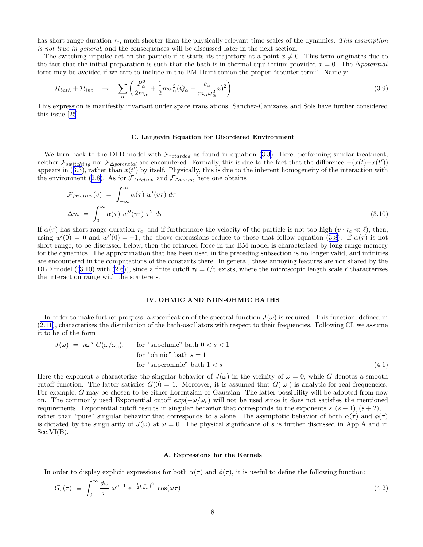<span id="page-7-0"></span>has short range duration  $\tau_c$ , much shorter than the physically relevant time scales of the dynamics. This assumption is not true in general, and the consequences will be discussed later in the next section.

The switching impulse act on the particle if it starts its trajectory at a point  $x \neq 0$ . This term originates due to the fact that the initial preparation is such that the bath is in thermal equilibrium provided  $x = 0$ . The  $\Delta$ *potential* force may be avoided if we care to include in the BM Hamiltonian the proper "counter term". Namely:

$$
\mathcal{H}_{bath} + \mathcal{H}_{int} \rightarrow \sum_{\alpha} \left( \frac{P_{\alpha}^{2}}{2m_{\alpha}} + \frac{1}{2} m \omega_{\alpha}^{2} (Q_{\alpha} - \frac{c_{\alpha}}{m_{\alpha} \omega_{\alpha}^{2}} x)^{2} \right)
$$
(3.9)

This expression is manifestly invariant under space translations. Sanchez-Canizares and Sols have further considered this issue [\[25](#page-25-0)].

#### C. Langevin Equation for Disordered Environment

We turn back to the DLD model with  $\mathcal{F}_{retarded}$  as found in equation ([3.3\)](#page-6-0). Here, performing similar treatment, neither  $\mathcal{F}_{switching}$  nor  $\mathcal{F}_{\Delta potential}$  are encountered. Formally, this is due to the fact that the difference  $-(x(t)-x(t'))$ appears in  $(3.3)$  $(3.3)$ , rather than  $x(t')$  by itself. Physically, this is due to the inherent homogeneity of the interaction with the environment [\(2.8](#page-3-0)). As for  $\mathcal{F}_{friction}$  and  $\mathcal{F}_{\Delta mass}$ , here one obtains

$$
\mathcal{F}_{friction}(v) = \int_{-\infty}^{\infty} \alpha(\tau) w'(v\tau) d\tau
$$
  

$$
\Delta m = \int_{0}^{\infty} \alpha(\tau) w''(v\tau) \tau^{2} d\tau
$$
\n(3.10)

If  $\alpha(\tau)$  has short range duration  $\tau_c$ , and if furthermore the velocity of the particle is not too high  $(v \cdot \tau_c \ll \ell)$ , then, using  $w'(0) = 0$  and  $w''(0) = -1$ , the above expressions reduce to those that follow equation ([3.8\)](#page-6-0). If  $\alpha(\tau)$  is not short range, to be discussed below, then the retarded force in the BM model is characterized by long range memory for the dynamics. The approximation that has been used in the preceding subsection is no longer valid, and infinities are encountered in the computations of the constants there. In general, these annoying features are not shared by the DLD model ((3.10) with [\(2.6](#page-3-0))), since a finite cutoff  $\tau_\ell = \ell/v$  exists, where the microscopic length scale  $\ell$  characterizes the interaction range with the scatterers.

## IV. OHMIC AND NON-OHMIC BATHS

In order to make further progress, a specification of the spectral function  $J(\omega)$  is required. This function, defined in ([2.11\)](#page-3-0), characterizes the distribution of the bath-oscillators with respect to their frequencies. Following CL we assume it to be of the form

$$
J(\omega) = \eta \omega^s G(\omega/\omega_c).
$$
 for "subohmic" bath  $0 < s < 1$   
for "ohmic" bath  $s = 1$   
for "superohmic" bath  $1 < s$  (4.1)

Here the exponent s characterize the singular behavior of  $J(\omega)$  in the vicinity of  $\omega = 0$ , while G denotes a smooth cutoff function. The latter satisfies  $G(0) = 1$ . Moreover, it is assumed that  $G(|\omega|)$  is analytic for real frequencies. For example, G may be chosen to be either Lorentzian or Gaussian. The latter possibility will be adopted from now on. The commonly used Exponential cutoff  $exp(-\omega/\omega_c)$  will not be used since it does not satisfies the mentioned requirements. Exponential cutoff results in singular behavior that corresponds to the exponents  $s, (s + 1), (s + 2), ...$ rather than "pure" singular behavior that corresponds to s alone. The asymptotic behavior of both  $\alpha(\tau)$  and  $\phi(\tau)$ is dictated by the singularity of  $J(\omega)$  at  $\omega = 0$ . The physical significance of s is further discussed in App.A and in Sec.VI(B).

#### A. Expressions for the Kernels

In order to display explicit expressions for both  $\alpha(\tau)$  and  $\phi(\tau)$ , it is useful to define the following function:

$$
G_s(\tau) \equiv \int_0^\infty \frac{d\omega}{\pi} \ \omega^{s-1} \ e^{-\frac{1}{2}(\frac{\omega}{\omega_c})^2} \ \cos(\omega \tau) \tag{4.2}
$$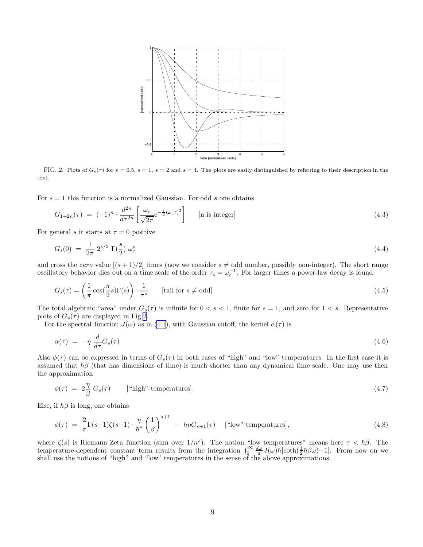<span id="page-8-0"></span>

FIG. 2. Plots of  $G_s(\tau)$  for  $s = 0.5$ ,  $s = 1$ ,  $s = 2$  and  $s = 4$ . The plots are easily distinguished by referring to their description in the text.

For  $s = 1$  this function is a normalized Gaussian. For odd s one obtains

$$
G_{1+2n}(\tau) = (-1)^n \cdot \frac{d^{2n}}{d\tau^{2n}} \left[ \frac{\omega_c}{\sqrt{2\pi}} e^{-\frac{1}{2}(\omega_c \tau)^2} \right] \qquad \text{[n is integer]} \tag{4.3}
$$

For general s it starts at  $\tau = 0$  positive

$$
G_s(0) = \frac{1}{2\pi} 2^{s/2} \Gamma(\frac{s}{2}) \omega_c^s \tag{4.4}
$$

and cross the zero value  $[(s+1)/2]$  times (now we consider  $s \neq$  odd number, possibly non-integer). The short range oscillatory behavior dies out on a time scale of the order  $\tau_c = \omega_c^{-1}$ . For larger times a power-law decay is found:

$$
G_s(\tau) = \left(\frac{1}{\pi}\cos(\frac{\pi}{2}s)\Gamma(s)\right) \cdot \frac{1}{\tau^s} \qquad \text{[tail for } s \neq \text{odd]}
$$
 (4.5)

The total algebraic "area" under  $G_s(\tau)$  is infinite for  $0 < s < 1$ , finite for  $s = 1$ , and zero for  $1 < s$ . Representative plots of  $G_s(\tau)$  are displayed in Fig.2.

For the spectral function  $J(\omega)$  as in [\(4.1](#page-7-0)), with Gaussian cutoff, the kernel  $\alpha(\tau)$  is

$$
\alpha(\tau) = -\eta \frac{d}{d\tau} G_s(\tau) \tag{4.6}
$$

Also  $\phi(\tau)$  can be expressed in terms of  $G_s(\tau)$  in both cases of "high" and "low" temperatures. In the first case it is assumed that  $\hbar\beta$  (that has dimensions of time) is much shorter than any dynamical time scale. One may use then the approximation

$$
\phi(\tau) = 2\frac{\eta}{\beta} G_s(\tau) \qquad \text{[``high'' temperatures]}.
$$
\n(4.7)

Else, if  $\hbar\beta$  is long, one obtains

$$
\phi(\tau) = \frac{2}{\pi} \Gamma(s+1) \zeta(s+1) \cdot \frac{\eta}{\hbar^s} \left(\frac{1}{\beta}\right)^{s+1} + \hbar \eta G_{s+1}(\tau) \quad \text{[``low'' temperatures]},\tag{4.8}
$$

where  $\zeta(s)$  is Riemann Zeta function (sum over  $1/n^s$ ). The notion "low temperatures" means here  $\tau < \hbar \beta$ . The temperature-dependent constant term results from the integration  $\int_0^\infty \frac{d\omega}{\pi} J(\omega) \hbar[\coth(\frac{1}{2}\hbar\beta\omega)-1]$ . From now on we shall use the notions of "high" and "low" temperatures in the sense of the above approximations.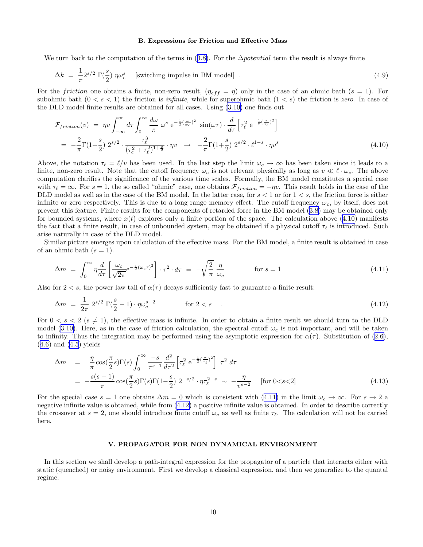#### B. Expressions for Friction and Effective Mass

We turn back to the computation of the terms in  $(3.8)$  $(3.8)$ . For the  $\Delta$ *potential* term the result is always finite

$$
\Delta k = \frac{1}{\pi} 2^{s/2} \Gamma(\frac{s}{2}) \eta \omega_c^s \quad \text{[switching impulse in BM model]} \tag{4.9}
$$

For the friction one obtains a finite, non-zero result,  $(\eta_{eff} = \eta)$  only in the case of an ohmic bath  $(s = 1)$ . For subohmic bath  $(0 < s < 1)$  the friction is *infinite*, while for superohmic bath  $(1 < s)$  the friction is zero. In case of the DLD model finite results are obtained for all cases. Using ([3.10\)](#page-7-0) one finds out

$$
\mathcal{F}_{friction}(v) = \eta v \int_{-\infty}^{\infty} d\tau \int_{0}^{\infty} \frac{d\omega}{\pi} \omega^{s} e^{-\frac{1}{2}(\frac{\omega}{\omega_{c}})^{2}} \sin(\omega \tau) \cdot \frac{d}{d\tau} \left[ \tau_{\ell}^{2} e^{-\frac{1}{2}(\frac{\tau}{\tau_{\ell}})^{2}} \right]
$$
  
=  $-\frac{2}{\pi} \Gamma(1+\frac{s}{2}) 2^{s/2} \cdot \frac{\tau_{\ell}^{3}}{(\tau_{c}^{2}+\tau_{\ell}^{2})^{1+\frac{s}{2}}} \cdot \eta v \to -\frac{2}{\pi} \Gamma(1+\frac{s}{2}) 2^{s/2} \cdot \ell^{1-s} \cdot \eta v^{s}$  (4.10)

Above, the notation  $\tau_\ell = \ell/v$  has been used. In the last step the limit  $\omega_c \to \infty$  has been taken since it leads to a finite, non-zero result. Note that the cutoff frequency  $\omega_c$  is not relevant physically as long as  $v \ll \ell \cdot \omega_c$ . The above computation clarifies the significance of the various time scales. Formally, the BM model constitutes a special case with  $\tau_{\ell} = \infty$ . For  $s = 1$ , the so called "ohmic" case, one obtains  $\mathcal{F}_{friction} = -\eta v$ . This result holds in the case of the DLD model as well as in the case of the BM model. In the latter case, for  $s < 1$  or for  $1 < s$ , the friction force is either infinite or zero respectively. This is due to a long range memory effect. The cutoff frequency  $\omega_c$ , by itself, does not prevent this feature. Finite results for the components of retarded force in the BM model [\(3.8\)](#page-6-0) may be obtained only for bounded systems, where  $x(t)$  explores only a finite portion of the space. The calculation above  $(4.10)$  manifests the fact that a finite result, in case of unbounded system, may be obtained if a physical cutoff  $\tau_\ell$  is introduced. Such arise naturally in case of the DLD model.

Similar picture emerges upon calculation of the effective mass. For the BM model, a finite result is obtained in case of an ohmic bath  $(s = 1)$ .

$$
\Delta m = \int_0^\infty \eta \frac{d}{d\tau} \left[ \frac{\omega_c}{\sqrt{2\pi}} e^{-\frac{1}{2}(\omega_c \tau)^2} \right] \cdot \tau^2 \cdot d\tau = -\sqrt{\frac{2}{\pi}} \frac{\eta}{\omega_c} \qquad \text{for } s = 1 \tag{4.11}
$$

Also for  $2 < s$ , the power law tail of  $\alpha(\tau)$  decays sufficiently fast to guarantee a finite result:

$$
\Delta m = \frac{1}{2\pi} 2^{s/2} \Gamma(\frac{s}{2} - 1) \cdot \eta \omega_c^{s-2} \qquad \text{for } 2 < s \quad . \tag{4.12}
$$

For  $0 < s < 2$  ( $s \neq 1$ ), the effective mass is infinite. In order to obtain a finite result we should turn to the DLD model ([3.10\)](#page-7-0). Here, as in the case of friction calculation, the spectral cutoff  $\omega_c$  is not important, and will be taken to infinity. Thus the integration may be performed using the asymptotic expression for  $\alpha(\tau)$ . Substitution of ([2.6\)](#page-3-0),  $(4.6)$  $(4.6)$  and  $(4.5)$  $(4.5)$  yields

$$
\Delta m = \frac{\eta}{\pi} \cos(\frac{\pi}{2}s) \Gamma(s) \int_0^\infty \frac{-s}{\tau^{s+1}} \frac{d^2}{d\tau^2} \left[ \tau_\ell^2 e^{-\frac{1}{2}(\frac{\tau}{\tau_\ell})^2} \right] \tau^2 d\tau
$$
  
=  $-\frac{s(s-1)}{\pi} \cos(\frac{\pi}{2}s) \Gamma(s) \Gamma(1-\frac{s}{2}) 2^{-s/2} \cdot \eta \tau_\ell^{2-s} \sim -\frac{\eta}{v^{s-2}}$  [for  $0 < s < 2$ ] (4.13)

For the special case  $s = 1$  one obtains  $\Delta m = 0$  which is consistent with (4.11) in the limit  $\omega_c \to \infty$ . For  $s \to 2$  a negative infinite value is obtained, while from (4.12) a positive infinite value is obtained. In order to describe correctly the crossover at  $s = 2$ , one should introduce finite cutoff  $\omega_c$  as well as finite  $\tau_{\ell}$ . The calculation will not be carried here.

## V. PROPAGATOR FOR NON DYNAMICAL ENVIRONMENT

In this section we shall develop a path-integral expression for the propagator of a particle that interacts either with static (quenched) or noisy environment. First we develop a classical expression, and then we generalize to the quantal regime.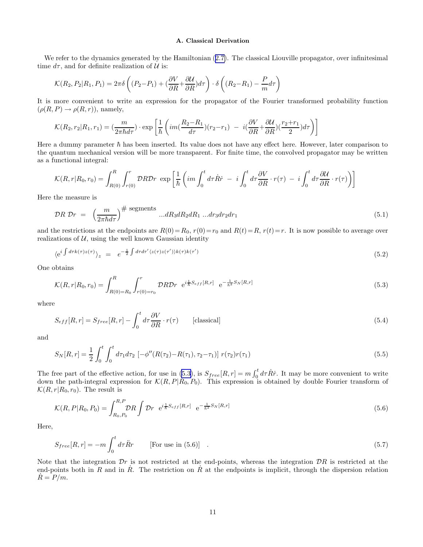# A. Classical Derivation

<span id="page-10-0"></span>We refer to the dynamics generated by the Hamiltonian  $(2.7)$  $(2.7)$ . The classical Liouville propagator, over infinitesimal time  $d\tau$ , and for definite realization of  $\mathcal U$  is:

$$
\mathcal{K}(R_2, P_2|R_1, P_1) = 2\pi\delta\left((P_2 - P_1) + \left(\frac{\partial V}{\partial R} + \frac{\partial U}{\partial R}\right)d\tau\right) \cdot \delta\left((R_2 - R_1) - \frac{P}{m}d\tau\right)
$$

It is more convenient to write an expression for the propagator of the Fourier transformed probability function  $(\rho(R, P) \to \rho(R, r))$ , namely,

$$
\mathcal{K}(R_2, r_2 | R_1, r_1) = \left(\frac{m}{2\pi\hbar d\tau}\right) \cdot \exp\left[\frac{1}{\hbar} \left(im\left(\frac{R_2 - R_1}{d\tau}\right)(r_2 - r_1) - i\left(\frac{\partial V}{\partial R} + \frac{\partial U}{\partial R}\right)\left(\frac{r_2 + r_1}{2}\right)d\tau\right)\right]
$$

Here a dummy parameter  $\hbar$  has been inserted. Its value does not have any effect here. However, later comparison to the quantum mechanical version will be more transparent. For finite time, the convolved propagator may be written as a functional integral:

$$
\mathcal{K}(R,r|R_0,r_0) = \int_{R(0)}^R \int_{r(0)}^r \mathcal{D}R \mathcal{D}r \exp\left[\frac{1}{\hbar} \left(im \int_0^t d\tau \dot{R}\dot{r} - i \int_0^t d\tau \frac{\partial V}{\partial R} \cdot r(\tau) - i \int_0^t d\tau \frac{\partial U}{\partial R} \cdot r(\tau) \right)\right]
$$

Here the measure is

$$
\mathcal{D}R \ \mathcal{D}r = \left(\frac{m}{2\pi\hbar d\tau}\right)^{\#}\text{ segments} \dots dR_3 dR_2 dR_1 \dots dr_3 d r_2 d r_1 \tag{5.1}
$$

and the restrictions at the endpoints are  $R(0)=R_0$ ,  $r(0)=r_0$  and  $R(t)=R$ ,  $r(t)=r$ . It is now possible to average over realizations of  $U$ , using the well known Gaussian identity

$$
\langle e^{i \int d\tau k(\tau) z(\tau)} \rangle_z = e^{-\frac{1}{2} \int d\tau d\tau' \langle z(\tau) z(\tau') \rangle k(\tau) k(\tau')}
$$
\n(5.2)

One obtains

$$
\mathcal{K}(R,r|R_0,r_0) = \int_{R(0)=R_0}^{R} \int_{r(0)=r_0}^{r} \mathcal{D}R \mathcal{D}r \ \ e^{i\frac{1}{h}S_{eff}[R,r]} \ \ e^{-\frac{1}{h^2}S_N[R,r]} \tag{5.3}
$$

where

$$
S_{eff}[R,r] = S_{free}[R,r] - \int_0^t d\tau \frac{\partial V}{\partial R} \cdot r(\tau) \qquad \text{[classical]} \tag{5.4}
$$

and

$$
S_N[R,r] = \frac{1}{2} \int_0^t \int_0^t d\tau_1 d\tau_2 \, \left[ -\phi''(R(\tau_2) - R(\tau_1), \tau_2 - \tau_1) \right] \, r(\tau_2) r(\tau_1) \tag{5.5}
$$

The free part of the effective action, for use in (5.3), is  $S_{free}[R, r] = m \int_0^t d\tau \dot{R}\dot{r}$ . It may be more convenient to write down the path-integral expression for  $\mathcal{K}(R, P|R_0, P_0)$ . This expression is obtained by double Fourier transform of  $\mathcal{K}(R, r | R_0, r_0)$ . The result is

$$
\mathcal{K}(R, P|R_0, P_0) = \int_{R_0, P_0}^{R, P} \mathcal{D}R \int \mathcal{D}r \ e^{i\frac{1}{\hbar}S_{eff}[R, r]} \ e^{-\frac{1}{\hbar^2}S_N[R, r]}
$$
(5.6)

Here,

$$
S_{free}[R,r] = -m \int_0^t d\tau \ddot{R}r \qquad \text{[For use in (5.6)]} \quad . \tag{5.7}
$$

Note that the integration  $\mathcal{D}r$  is not restricted at the end-points, whereas the integration  $\mathcal{D}R$  is restricted at the end-points both in R and in  $\dot{R}$ . The restriction on  $\dot{R}$  at the endpoints is implicit, through the dispersion relation  $\dot{R} = P/m$ .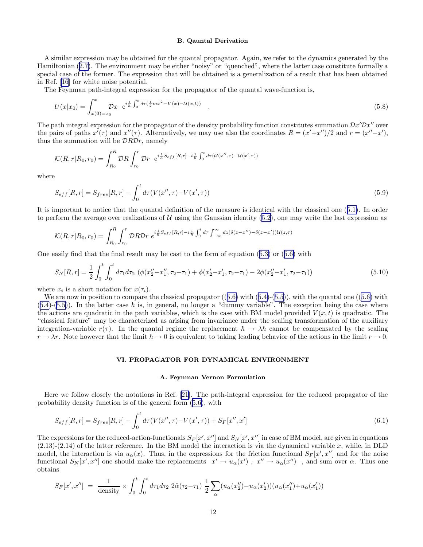### B. Qauntal Derivation

<span id="page-11-0"></span>A similar expression may be obtained for the quantal propagator. Again, we refer to the dynamics generated by the Hamiltonian ([2.7\)](#page-3-0). The environment may be either "noisy" or "quenched", where the latter case constitute formally a special case of the former. The expression that will be obtained is a generalization of a result that has been obtained in Ref. [\[16](#page-25-0)] for white noise potential.

The Feynman path-integral expression for the propagator of the quantal wave-function is,

$$
U(x|x_0) = \int_{x(0)=x_0}^{x} \mathcal{D}x \ e^{i\frac{1}{\hbar} \int_0^t d\tau (\frac{1}{2}m\dot{x}^2 - V(x) - \mathcal{U}(x,t))}.
$$
 (5.8)

The path integral expression for the propagator of the density probability function constitutes summation  $\mathcal{D}x'\mathcal{D}x''$  over the pairs of paths  $x'(\tau)$  and  $x''(\tau)$ . Alternatively, we may use also the coordinates  $R = (x'+x'')/2$  and  $r = (x''-x')$ , thus the summation will be  $\mathcal{D}R\mathcal{D}r$ , namely

$$
\mathcal{K}(R,r|R_0,r_0) = \int_{R_0}^R \mathcal{D}R \int_{r_0}^r \mathcal{D}r \ e^{i\frac{1}{\hbar}S_{eff}[R,r]-i\frac{1}{\hbar}\int_0^t d\tau (\mathcal{U}(x'',\tau) - \mathcal{U}(x',\tau))}
$$

where

$$
S_{eff}[R,r] = S_{free}[R,r] - \int_0^t d\tau (V(x'',\tau) - V(x',\tau))
$$
\n(5.9)

It is important to notice that the quantal definition of the measure is identical with the classical one ([5.1\)](#page-10-0). In order to perform the average over realizations of  $U$  using the Gaussian identity ([5.2\)](#page-10-0), one may write the last expression as

$$
\mathcal{K}(R,r|R_0,r_0) = \int_{R_0}^R \int_{r_0}^r \mathcal{D}R \mathcal{D}r \ e^{i\frac{1}{\hbar}S_{eff}[R,r]-i\frac{1}{\hbar}\int_0^t d\tau \int_{-\infty}^{\infty} dz(\delta(z-x'')-\delta(z-x'))\mathcal{U}(z,\tau)}
$$

One easily find that the final result may be cast to the form of equation ([5.3\)](#page-10-0) or ([5.6\)](#page-10-0) with

$$
S_N[R,r] = \frac{1}{2} \int_0^t \int_0^t d\tau_1 d\tau_2 \, \left( \phi(x_2'' - x_1'', \tau_2 - \tau_1) + \phi(x_2' - x_1', \tau_2 - \tau_1) - 2\phi(x_2'' - x_1', \tau_2 - \tau_1) \right) \tag{5.10}
$$

where  $x_i$  is a short notation for  $x(\tau_i)$ .

We are now in position to compare the classical propagator  $((5.6)$  $((5.6)$  with  $(5.4)-(5.5)$  $(5.4)-(5.5)$  $(5.4)-(5.5)$  $(5.4)-(5.5)$ , with the quantal one  $((5.6)$  with  $(5.4)-(5.5)$  $(5.4)-(5.5)$  $(5.4)-(5.5)$  $(5.4)-(5.5)$ ). In the latter case  $\hbar$  is, in general, no longer a "dummy variable". The exception being the case where the actions are quadratic in the path variables, which is the case with BM model provided  $V(x,t)$  is quadratic. The "classical feature" may be characterized as arising from invariance under the scaling transformation of the auxiliary integration-variable  $r(\tau)$ . In the quantal regime the replacement  $\hbar \to \lambda \hbar$  cannot be compensated by the scaling  $r \to \lambda r$ . Note however that the limit  $\hbar \to 0$  is equivalent to taking leading behavior of the actions in the limit  $r \to 0$ .

# VI. PROPAGATOR FOR DYNAMICAL ENVIRONMENT

#### A. Feynman Vernon Formulation

Here we follow closely the notations in Ref. [[21\]](#page-25-0). The path-integral expression for the reduced propagator of the probability density function is of the general form ([5.6\)](#page-10-0), with

$$
S_{eff}[R,r] = S_{free}[R,r] - \int_0^t d\tau (V(x'',\tau) - V(x',\tau)) + S_F[x'',x'] \tag{6.1}
$$

The expressions for the reduced-action-functionals  $S_F[x',x'']$  and  $S_N[x',x'']$  in case of BM model, are given in equations  $(2.13)-(2.14)$  of the latter reference. In the BM model the interaction is via the dynamical variable x, while, in DLD model, the interaction is via  $u_{\alpha}(x)$ . Thus, in the expressions for the friction functional  $S_F[x',x'']$  and for the noise functional  $S_N[x',x'']$  one should make the replacements  $x' \to u_\alpha(x')$ ,  $x'' \to u_\alpha(x'')$ , and sum over  $\alpha$ . Thus one obtains

$$
S_F[x',x''] = \frac{1}{\text{density}} \times \int_0^t \int_0^t d\tau_1 d\tau_2 \ 2\tilde{\alpha}(\tau_2 - \tau_1) \ \frac{1}{2} \sum_{\alpha} (u_{\alpha}(x_2'') - u_{\alpha}(x_2')) (u_{\alpha}(x_1'') + u_{\alpha}(x_1'))
$$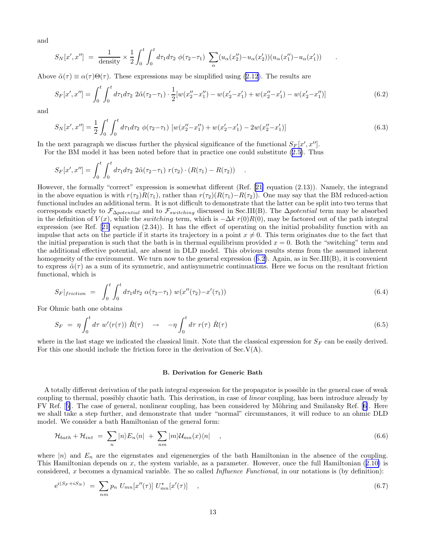<span id="page-12-0"></span>and

$$
S_N[x',x''] = \frac{1}{\text{density}} \times \frac{1}{2} \int_0^t \int_0^t d\tau_1 d\tau_2 \ \phi(\tau_2 - \tau_1) \ \sum_\alpha (u_\alpha(x_2'') - u_\alpha(x_2')) (u_\alpha(x_1'') - u_\alpha(x_1')) \quad .
$$

Above  $\tilde{\alpha}(\tau) \equiv \alpha(\tau) \Theta(\tau)$ . These expressions may be simplified using ([2.12\)](#page-4-0). The results are

$$
S_F[x',x''] = \int_0^t \int_0^t d\tau_1 d\tau_2 \ 2\tilde{\alpha}(\tau_2 - \tau_1) \cdot \frac{1}{2} [w(x_2'' - x_1'') - w(x_2' - x_1') + w(x_2'' - x_1') - w(x_2' - x_1'')]
$$
(6.2)

and

$$
S_N[x',x''] = \frac{1}{2} \int_0^t \int_0^t d\tau_1 d\tau_2 \ \phi(\tau_2 - \tau_1) \ [w(x_2'' - x_1'') + w(x_2' - x_1') - 2w(x_2'' - x_1')] \tag{6.3}
$$

In the next paragraph we discuss further the physical significance of the functional  $S_F[x',x'']$ .

For the BM model it has been noted before that in practice one could substitute ([2.5\)](#page-3-0). Thus

$$
S_F[x',x''] = \int_0^t \int_0^t d\tau_1 d\tau_2 \ 2\tilde{\alpha}(\tau_2 - \tau_1) \ r(\tau_2) \cdot (R(\tau_1) - R(\tau_2)) \quad .
$$

However, the formally "correct" expression is somewhat different (Ref. [\[21](#page-25-0)] equation (2.13)). Namely, the integrand in the above equation is with  $r(\tau_2)R(\tau_1)$ , rather than  $r(\tau_2)(R(\tau_1)-R(\tau_2))$ . One may say that the BM reduced-action functional includes an additional term. It is not difficult to demonstrate that the latter can be split into two terms that corresponds exactly to  $\mathcal{F}_{\Delta potential}$  and to  $\mathcal{F}_{switching}$  discussed in Sec.III(B). The  $\Delta potential$  term may be absorbed in the definition of  $V(x)$ , while the *switching* term, which is  $-\Delta k r(0)R(0)$ , may be factored out of the path integral expression (see Ref. [[21\]](#page-25-0) equation (2.34)). It has the effect of operating on the initial probability function with an impulse that acts on the particle if it starts its trajectory in a point  $x \neq 0$ . This term originates due to the fact that the initial preparation is such that the bath is in thermal equilibrium provided  $x = 0$ . Both the "switching" term and the additional effective potential, are absent in DLD model. This obvious results stems from the assumed inherent homogeneity of the environment. We turn now to the general expression  $(6.2)$  $(6.2)$ . Again, as in Sec.III(B), it is convenient to express  $\tilde{\alpha}(\tau)$  as a sum of its symmetric, and antisymmetric continuations. Here we focus on the resultant friction functional, which is

$$
S_F|_{friction} = \int_0^t \int_0^t d\tau_1 d\tau_2 \ \alpha(\tau_2 - \tau_1) \ w(x''(\tau_2) - x'(\tau_1)) \tag{6.4}
$$

For Ohmic bath one obtains

$$
S_F = \eta \int_0^t d\tau \ w'(r(\tau)) \ \dot{R}(\tau) \quad \to \quad -\eta \int_0^t d\tau \ r(\tau) \ \dot{R}(\tau) \tag{6.5}
$$

where in the last stage we indicated the classical limit. Note that the classical expression for  $S_F$  can be easily derived. For this one should include the friction force in the derivation of  $Sec.V(A)$ .

#### B. Derivation for Generic Bath

A totally different derivation of the path integral expression for the propagator is possible in the general case of weak coupling to thermal, possibly chaotic bath. This derivation, in case of *linear* coupling, has been introduce already by FV Ref. [[5\]](#page-25-0). The case of general, nonlinear coupling, has been considered by Möhring and Smilansky Ref. [[6\]](#page-25-0). Here we shall take a step further, and demonstrate that under "normal" circumstances, it will reduce to an ohmic DLD model. We consider a bath Hamiltonian of the general form:

$$
\mathcal{H}_{bath} + \mathcal{H}_{int} = \sum_{n} |n\rangle E_n \langle n| + \sum_{nm} |m\rangle \mathcal{U}_{mn}(x) \langle n| \quad , \tag{6.6}
$$

where  $|n\rangle$  and  $E_n$  are the eigenstates and eigenenergies of the bath Hamiltonian in the absence of the coupling. This Hamiltonian depends on  $x$ , the system variable, as a parameter. However, once the full Hamiltonian  $(2.10)$  $(2.10)$  is considered, x becomes a dynamical variable. The so called Influence Functional, in our notations is (by definition):

$$
e^{i(S_F + iS_N)} = \sum_{nm} p_n U_{mn}[x''(\tau)] U_{mn}^{\star}[x'(\tau)] , \qquad (6.7)
$$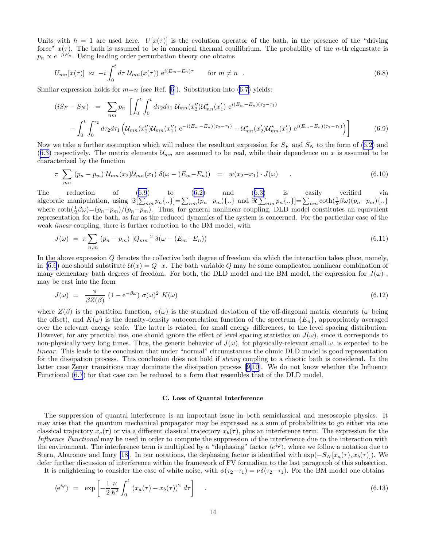<span id="page-13-0"></span>Units with  $\hbar = 1$  are used here.  $U[x(\tau)]$  is the evolution operator of the bath, in the presence of the "driving" force"  $x(\tau)$ . The bath is assumed to be in canonical thermal equilibrium. The probability of the *n*-th eigenstate is  $p_n \propto e^{-\beta E_n}$ . Using leading order perturbation theory one obtains

$$
U_{mn}[x(\tau)] \approx -i \int_0^t d\tau \, \mathcal{U}_{mn}(x(\tau)) \; e^{i(E_m - E_n)\tau} \qquad \text{for } m \neq n \quad . \tag{6.8}
$$

Similar expression holds for  $m=n$  (see Ref. [\[6](#page-25-0)]). Substitution into ([6.7\)](#page-12-0) yields:

$$
(iS_F - S_N) = \sum_{nm} p_n \left[ \int_0^t \int_0^t d\tau_2 d\tau_1 \, \mathcal{U}_{mn}(x_2'') \mathcal{U}_{mn}^*(x_1') \, e^{i(E_m - E_n)(\tau_2 - \tau_1)} \right]
$$

$$
- \int_0^t \int_0^{\tau_2} d\tau_2 d\tau_1 \left( \mathcal{U}_{mn}(x_2'') \mathcal{U}_{mn}(x_1'') \, e^{-i(E_m - E_n)(\tau_2 - \tau_1)} - \mathcal{U}_{mn}^*(x_2') \mathcal{U}_{mn}^*(x_1') \, e^{i(E_m - E_n)(\tau_2 - \tau_1)} \right) \right]
$$
(6.9)

Now we take a further assumption which will reduce the resultant expression for  $S_F$  and  $S_N$  to the form of [\(6.2](#page-11-0)) and  $(6.3)$  $(6.3)$  respectively. The matrix elements  $\mathcal{U}_{mn}$  are assumed to be real, while their dependence on x is assumed to be characterized by the function

$$
\pi \sum_{mn} (p_n - p_m) \, \mathcal{U}_{mn}(x_2) \mathcal{U}_{mn}(x_1) \, \delta(\omega - (E_m - E_n)) = w(x_2 - x_1) \cdot J(\omega) \quad . \tag{6.10}
$$

The reduction of (6.9) to ([6.2\)](#page-11-0) and [\(6.3\)](#page-12-0) is easily verified via algebraic manipulation, using  $\Im[\sum_{nm} p_n \ldots] = \sum_{nm} (p_n - p_m) \ldots$  and  $\Re[\sum_{nm} p_n \ldots] = \sum_{nm} \coth(\frac{1}{2}\beta\omega)(p_n - p_m) \ldots$ where  $\coth(\frac{1}{2}\beta\omega)=(p_n+p_m)/(p_n-p_m)$ . Thus, for general nonlinear coupling, DLD model constitutes an equivalent representation for the bath, as far as the reduced dynamics of the system is concerned. For the particular case of the weak linear coupling, there is further reduction to the BM model, with

$$
J(\omega) = \pi \sum_{n,m} (p_n - p_m) |Q_{mn}|^2 \delta(\omega - (E_m - E_n))
$$
\n(6.11)

In the above expression Q denotes the collective bath degree of freedom via which the interaction takes place, namely, in [\(6.6](#page-12-0)) one should substitute  $\mathcal{U}(x) = Q \cdot x$ . The bath variable Q may be some complicated nonlinear combination of many elementary bath degrees of freedom. For both, the DLD model and the BM model, the expression for  $J(\omega)$ , may be cast into the form

$$
J(\omega) = \frac{\pi}{\beta Z(\beta)} \left(1 - e^{-\beta \omega}\right) \sigma(\omega)^2 \ K(\omega) \tag{6.12}
$$

where  $Z(\beta)$  is the partition function,  $\sigma(\omega)$  is the standard deviation of the off-diagonal matrix elements ( $\omega$  being the offset), and  $K(\omega)$  is the density-density autocorrelation function of the spectrum  $\{E_n\}$ , appropriately averaged over the relevant energy scale. The latter is related, for small energy differences, to the level spacing distribution. However, for any practical use, one should ignore the effect of level spacing statistics on  $J(\omega)$ , since it corresponds to non-physically very long times. Thus, the generic behavior of  $J(\omega)$ , for physically-relevant small  $\omega$ , is expected to be linear. This leads to the conclusion that under "normal" circumstances the ohmic DLD model is good representation for the dissipation process. This conclusion does not hold if strong coupling to a chaotic bath is considered. In the latter case Zener transitions may dominate the dissipation process [\[9,10](#page-25-0)]. We do not know whether the Influence Functional [\(6.7](#page-12-0)) for that case can be reduced to a form that resembles that of the DLD model.

# C. Loss of Quantal Interference

The suppression of quantal interference is an important issue in both semiclassical and mesoscopic physics. It may arise that the quantum mechanical propagator may be expressed as a sum of probabilities to go either via one classical trajectory  $x_a(\tau)$  or via a different classical trajectory  $x_b(\tau)$ , plus an interference term. The expression for the Influence Functional may be used in order to compute the suppression of the interference due to the interaction with the environment. The interference term is multiplied by a "dephasing" factor  $\langle e^{i\varphi} \rangle$ , where we follow a notation due to Stern, Aharonov and Imry [\[18\]](#page-25-0). In our notations, the dephasing factor is identified with  $\exp(-S_N[x_a(\tau), x_b(\tau))]$ . We defer further discussion of interference within the framework of FV formalism to the last paragraph of this subsection.

It is enlightening to consider the case of white noise, with  $\phi(\tau_2-\tau_1) = \nu \delta(\tau_2-\tau_1)$ . For the BM model one obtains

$$
\langle e^{i\varphi} \rangle = \exp\left[ -\frac{1}{2} \frac{\nu}{\hbar^2} \int_0^t \left( x_a(\tau) - x_b(\tau) \right)^2 d\tau \right] \tag{6.13}
$$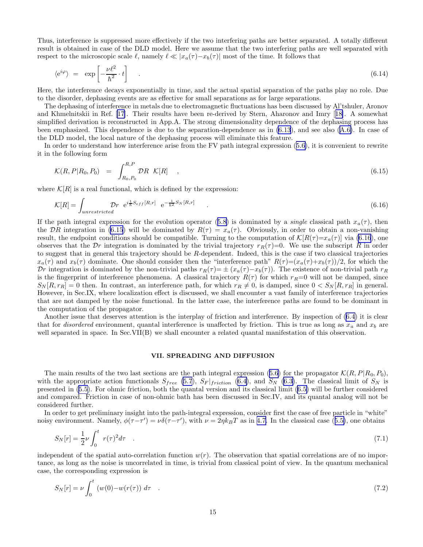<span id="page-14-0"></span>Thus, interference is suppressed more effectively if the two interfering paths are better separated. A totally different result is obtained in case of the DLD model. Here we assume that the two interfering paths are well separated with respect to the microscopic scale  $\ell$ , namely  $\ell \ll |x_a(\tau) - x_b(\tau)|$  most of the time. It follows that

$$
\langle e^{i\varphi} \rangle = \exp\left[ -\frac{\nu \ell^2}{\hbar^2} \cdot t \right] \quad . \tag{6.14}
$$

Here, the interference decays exponentially in time, and the actual spatial separation of the paths play no role. Due to the disorder, dephasing events are as effective for small separations as for large separations.

The dephasing of interference in metals due to electromagnetic fluctuations has been discussed by Al'tshuler, Aronov and Khmelnitskii in Ref. [\[17](#page-25-0)]. Their results have been re-derived by Stern, Aharonov and Imry [[18\]](#page-25-0). A somewhat simplified derivation is reconstructed in App.A. The strong dimensionality dependence of the dephasing process has been emphasized. This dependence is due to the separation-dependence as in [\(6.13](#page-13-0)), and see also ([A.6\)](#page-24-0). In case of the DLD model, the local nature of the dephasing process will eliminate this feature.

In order to understand how interference arise from the FV path integral expression ([5.6\)](#page-10-0), it is convenient to rewrite it in the following form

$$
\mathcal{K}(R, P|R_0, P_0) = \int_{R_0, P_0}^{R, P} \mathcal{D}R \quad \mathcal{K}[R] \quad , \tag{6.15}
$$

where  $\mathcal{K}[R]$  is a real functional, which is defined by the expression:

$$
\mathcal{K}[R] = \int_{unrestricted} \mathcal{D}r \ e^{i\frac{1}{\hbar}S_{eff}[R,r]} \ e^{-\frac{1}{\hbar^2}S_N[R,r]} \tag{6.16}
$$

If the path integral expression for the evolution operator ([5.8\)](#page-11-0) is dominated by a *single* classical path  $x_a(\tau)$ , then the DR integration in (6.15) will be dominated by  $R(\tau) = x_a(\tau)$ . Obviously, in order to obtain a non-vanishing result, the endpoint conditions should be compatible. Turning to the computation of  $\mathcal{K}[R(\tau)=x_a(\tau)]$  via (6.16), one observes that the Dr integration is dominated by the trivial trajectory  $r_R(\tau) = 0$ . We use the subscript R in order to suggest that in general this trajectory should be R-dependent. Indeed, this is the case if two classical trajectories  $x_a(\tau)$  and  $x_b(\tau)$  dominate. One should consider then the "interference path"  $R(\tau) = (x_a(\tau) + x_b(\tau))/2$ , for which the Dr integration is dominated by the non-trivial paths  $r_R(\tau) = \pm (x_a(\tau) - x_b(\tau))$ . The existence of non-trivial path  $r_R$ is the fingerprint of interference phenomena. A classical trajectory  $R(\tau)$  for which  $r_R=0$  will not be damped, since  $S_N[R, r_R] = 0$  then. In contrast, an interference path, for which  $r_R \neq 0$ , is damped, since  $0 < S_N[R, r_R]$  in general. However, in Sec.IX, where localization effect is discussed, we shall encounter a vast family of interference trajectories that are not damped by the noise functional. In the latter case, the interference paths are found to be dominant in the computation of the propagator.

Another issue that deserves attention is the interplay of friction and interference. By inspection of ([6.4\)](#page-12-0) it is clear that for *disordered* environment, quantal interference is unaffected by friction. This is true as long as  $x_a$  and  $x_b$  are well separated in space. In Sec.VII(B) we shall encounter a related quantal manifestation of this observation.

#### VII. SPREADING AND DIFFUSION

The main results of the two last sections are the path integral expression ([5.6\)](#page-10-0) for the propagator  $\mathcal{K}(R, P|R_0, P_0)$ , with the appropriate action functionals  $S_{free}$  [\(5.7](#page-10-0)),  $S_F |$  friction ([6.4\)](#page-12-0), and  $S_N$  ([6.3\)](#page-12-0). The classical limit of  $S_N$  is presented in ([5.5\)](#page-10-0). For ohmic friction, both the quantal version and its classical limit ([6.5\)](#page-12-0) will be further considered and compared. Friction in case of non-ohmic bath has been discussed in Sec.IV, and its quantal analog will not be considered further.

In order to get preliminary insight into the path-integral expression, consider first the case of free particle in "white" noisy environment. Namely,  $\phi(\tau-\tau') = \nu \delta(\tau-\tau')$ , with  $\nu = 2\eta k_B T$  as in [4.7.](#page-8-0) In the classical case ([5.5\)](#page-10-0), one obtains

$$
S_N[r] = \frac{1}{2}\nu \int_0^t r(\tau)^2 d\tau \quad . \tag{7.1}
$$

independent of the spatial auto-correlation function  $w(r)$ . The observation that spatial correlations are of no importance, as long as the noise is uncorrelated in time, is trivial from classical point of view. In the quantum mechanical case, the corresponding expression is

$$
S_N[r] = \nu \int_0^t \left( w(0) - w(r(\tau)) \, d\tau \right) \tag{7.2}
$$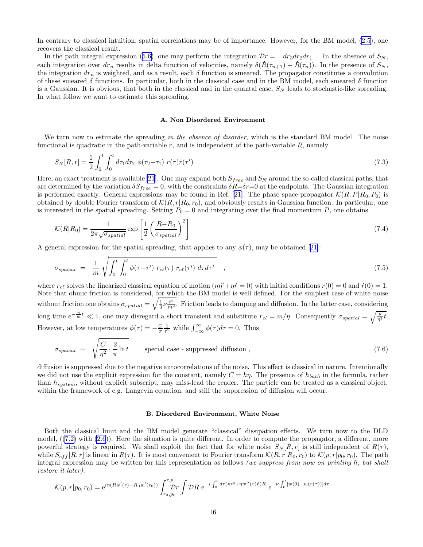<span id="page-15-0"></span>In contrary to classical intuition, spatial correlations may be of importance. However, for the BM model, ([2.5\)](#page-3-0), one recovers the classical result.

In the path integral expression [\(5.6\)](#page-10-0), one may perform the integration  $\mathcal{D}r = ...dy_3dy_2dx_1$ . In the absence of  $S_N$ , each integration over  $dr_n$  results in delta function of velocities, namely  $\delta(R(\tau_{n+1}) - R(\tau_n))$ . In the presence of  $S_N$ , the integration  $dr_n$  is weighted, and as a result, each  $\delta$  function is smeared. The propagator constitutes a convolution of these smeared  $\delta$  functions. In particular, both in the classical case and in the BM model, each smeared  $\delta$  function is a Gaussian. It is obvious, that both in the classical and in the quantal case,  $S_N$  leads to stochastic-like spreading. In what follow we want to estimate this spreading.

#### A. Non Disordered Environment

We turn now to estimate the spreading in the absence of disorder, which is the standard BM model. The noise functional is quadratic in the path-variable  $r$ , and is independent of the path-variable  $R$ , namely

$$
S_N[R,r] = \frac{1}{2} \int_0^t \int_0^t d\tau_1 d\tau_2 \ \phi(\tau_2 - \tau_1) \ r(\tau) r(\tau')
$$
\n(7.3)

Here, an exact treatment is available [\[21](#page-25-0)]. One may expand both  $S_{free}$  and  $S_N$  around the so-called classical paths, that are determined by the variation  $\delta S_{free} = 0$ , with the constraints  $\delta R = \delta r = 0$  at the endpoints. The Gaussian integration is performed exactly. General expressions may be found in Ref. [\[21](#page-25-0)]. The phase space propagator  $\mathcal{K}(R, P|R_0, P_0)$  is obtained by double Fourier transform of  $\mathcal{K}(R, r|R_0, r_0)$ , and obviously results in Gaussian function. In particular, one is interested in the spatial spreading. Setting  $P_0 = 0$  and integrating over the final momentum P, one obtains

$$
\mathcal{K}(R|R_0) = \frac{1}{2\pi\sqrt{\sigma_{spatial}}} \exp\left[\frac{1}{2}\left(\frac{R - R_0}{\sigma_{spatial}}\right)^2\right]
$$
\n(7.4)

A general expression for the spatial spreading, that applies to any  $\phi(\tau)$ , may be obtained [[21\]](#page-25-0):

$$
\sigma_{spatial} = \frac{1}{m} \sqrt{\int_0^t \int_0^t \phi(\tau - \tau') \ r_{c\ell}(\tau) \ r_{c\ell}(\tau') \ d\tau d\tau'} \quad , \tag{7.5}
$$

where  $r_{c\ell}$  solves the linearized classical equation of motion  $(m\ddot{r}+\eta\dot{r}=0)$  with initial conditions  $r(0) = 0$  and  $\dot{r}(0) = 1$ . Note that ohmic friction is considered, for which the BM model is well defined. For the simplest case of white noise without friction one obtains  $\sigma_{spatial} = \sqrt{\frac{1}{3}\nu \frac{t^3}{m^2}}$ . Friction leads to damping and diffusion. In the latter case, considering long time  $e^{-\frac{\eta}{m}t} \ll 1$ , one may disregard a short transient and substitute  $r_{cl} = m/\eta$ . Consequently  $\sigma_{spatial} = \sqrt{\frac{\nu}{\eta^2}t}$ . However, at low temperatures  $\phi(\tau) = -\frac{C}{\pi} \frac{1}{\tau^2}$  while  $\int_{-\infty}^{\infty} \phi(\tau) d\tau = 0$ . Thus

$$
\sigma_{spatial} \sim \sqrt{\frac{C}{\eta^2} \cdot \frac{2}{\pi} \ln t} \qquad \text{special case - suppressed diffusion}, \qquad (7.6)
$$

diffusion is suppressed due to the negative autocorrelations of the noise. This effect is classical in nature. Intentionally we did not use the explicit expression for the constant, namely  $C = \hbar \eta$ . The presence of  $\hbar_{bath}$  in the formula, rather than  $\hbar_{system}$ , without explicit subscript, may miss-lead the reader. The particle can be treated as a classical object, within the framework of e.g. Langevin equation, and still the suppression of diffusion will occur.

### B. Disordered Environment, White Noise

Both the classical limit and the BM model generate "classical" dissipation effects. We turn now to the DLD model,  $((7.2)$  $((7.2)$  with  $(2.6)$  $(2.6)$ ). Here the situation is quite different. In order to compute the propagator, a different, more powerful strategy is required. We shall exploit the fact that for white noise  $S_N[R, r]$  is still independent of  $R(\tau)$ , while  $S_{eff}[R, r]$  is linear in  $R(\tau)$ . It is most convenient to Fourier transform  $\mathcal{K}(R, r|R_0, r_0)$  to  $\mathcal{K}(p, r|p_0, r_0)$ . The path integral expression may be written for this representation as follows (we suppress from now on printing  $\hbar$ , but shall restore it later):

$$
\mathcal{K}(p,r|p_0,r_0) = e^{i\eta(Rw'(r) - R_0w'(r_0))} \int_{r_0,p_0}^{r,p} \int \mathcal{D}R \ e^{-i\int_0^t d\tau (m\ddot{r} + \eta w''(r)\dot{r})R} \ e^{-\nu\int_0^t [w(0) - w(r(\tau))]d\tau}
$$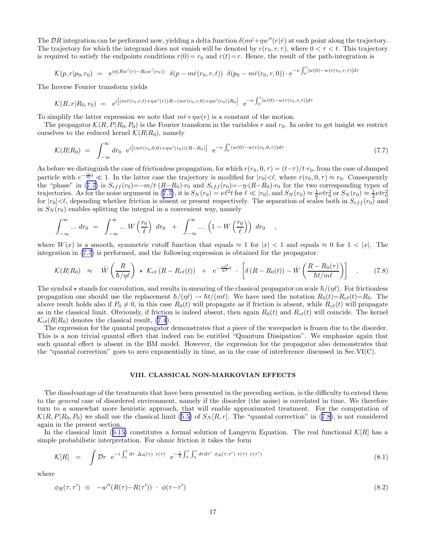<span id="page-16-0"></span>The DR integration can be performed now, yielding a delta function  $\delta(m\ddot{r}+\eta w''(r)\dot{r})$  at each point along the trajectory. The trajectory for which the integrand does not vanish will be denoted by  $r(r_0, r, \tau)$ , where  $0 < \tau < t$ . This trajectory is required to satisfy the endpoints conditions  $r(0) = r_0$  and  $r(t) = r$ . Hence, the result of the path-integration is

 $\mathcal{K}(p,r|p_0,r_0) = \text{ e}^{i\eta(Rw'(r)-R_0w'(r_0))} \hspace{0.25cm} \delta(p-m\dot{r}(r_0,r,t)) \hspace{0.25cm} \delta(p_0-m\dot{r}(r_0,r,0)) \cdot \text{e}^{-\nu\int_0^t [w(0)-w(r(r_0,r,\tau)]d\tau}$ 

The Inverse Fourier transform yields

$$
\mathcal{K}(R,r|R_0,r_0) = e^{i[(m\dot{r}(r_0,r,t)+\eta w'(r))R-(m\dot{r}(r_0,r,0)+\eta w'(r_0))R_0]} e^{-\nu \int_0^t [w(0)-w(r(r_0,r,\tau)]d\tau}
$$

To simplify the latter expression we note that  $m\dot{\tau}+\eta w(r)$  is a constant of the motion.

The propagator  $\mathcal{K}(R, P|R_0, P_0)$  is the Fourier transform in the variables r and  $r_0$ . In order to get insight we restrict ourselves to the reduced kernel  $\mathcal{K}(R|R_0)$ , namely

$$
\mathcal{K}(R|R_0) = \int_{-\infty}^{\infty} dr_0 \ e^{i\left[ (m\dot{r}(r_0,0,0) + \eta w'(r_0))(R - R_0) \right]} \ e^{-\nu \int_0^t (w(0) - w(r(r_0,0,\tau))d\tau}
$$
\n(7.7)

As before we distinguish the case of frictionless propagation, for which  $r(r_0, 0, \tau) = (t-\tau)/t \cdot r_0$ , from the case of damped particle with  $e^{-\frac{n}{m}t} \ll 1$ . In the latter case the trajectory is modified for  $|r_0| < \ell$ , where  $r(r_0, 0, \tau) \approx r_0$ . Consequently the "phase" in ([7.7\)](#page-15-0) is  $S_{eff}(r_0)=-m/t\cdot(R-R_0)\cdot r_0$  and  $S_{eff}(r_0)=-\eta\cdot(R-R_0)\cdot r_0$  for the two corresponding types of trajectories. As for the noise argument in ([7.7\)](#page-15-0), it is  $S_N(r_0) = \nu \ell^2 t$  for  $\ell \ll |r_0|$ , and  $S_N(r_0) \approx \frac{1}{6} \nu tr_0^2$  or  $S_N(r_0) \approx \frac{1}{2} \nu tr_0^2$ for  $|r_0|<\ell$ , depending whether friction is absent or present respectively. The separation of scales both in  $S_{eff}(r_0)$  and in  $S_N(r_0)$  enables splitting the integral in a convenient way, namely

$$
\int_{-\infty}^{\infty} \dots dr_0 = \int_{-\infty}^{\infty} \dots W\left(\frac{r_0}{\ell}\right) dr_0 + \int_{-\infty}^{\infty} \dots \left(1 - W\left(\frac{r_0}{\ell}\right)\right) dr_0 ,
$$

where  $W(x)$  is a smooth, symmetric cutoff function that equals  $\approx 1$  for  $|x| < 1$  and equals  $\approx 0$  for  $1 < |x|$ . The integration in [\(7.7](#page-15-0)) is performed, and the following expression is obtained for the propagator.

$$
\mathcal{K}(R|R_0) \approx \widetilde{W}\left(\frac{R}{\hbar/\eta\ell}\right) \star \mathcal{K}_{c\ell} \left(R - R_{c\ell}(t)\right) + e^{-\frac{\nu\ell^2}{\hbar^2}t} \cdot \left[\delta\left(R - R_0(t)\right) - \widetilde{W}\left(\frac{R - R_0(\tau)}{\hbar t/m\ell}\right)\right] \quad . \tag{7.8}
$$

The symbol  $\star$  stands for convolution, and results in smearing of the classical propagator on scale  $\hbar/(\eta\ell)$ . For frictionless propagation one should use the replacement  $\hbar/(\eta\ell) \to \hbar t/(\eta\ell)$ . We have used the notation  $R_0(t)=R_c\ell(t)=R_0$ . The above result holds also if  $P_0 \neq 0$ , in this case  $R_0(t)$  will propagate as if friction is absent, while  $R_{c\ell}(t)$  will propagate as in the classical limit. Obviously, if friction is indeed absent, then again  $R_0(t)$  and  $R_c(\ell)$  will coincide. The kernel  $\mathcal{K}_{c\ell}(R|R_0)$  denotes the classical result, [\(7.4](#page-15-0)).

The expression for the quantal propagator demonstrates that a piece of the wavepacket is frozen due to the disorder. This is a non trivial quantal effect that indeed can be entitled "Quantum Dissipation". We emphasize again that such quantal effect is absent in the BM model. However, the expression for the propagator also demonstrates that the "quantal correction" goes to zero exponentially in time, as in the case of interference discussed in Sec.VI(C).

# VIII. CLASSICAL NON-MARKOVIAN EFFECTS

The disadvantage of the treatments that have been presented in the preceding section, is the difficulty to extend them to the general case of disordered environment, namely if the disorder (the noise) is correlated in time. We therefore turn to a somewhat more heuristic approach, that will enable approximated treatment. For the computation of  $\mathcal{K}(R, P | R_0, P_0)$  we shall use the classical limit ([5.5\)](#page-10-0) of  $S_N(R, r]$ . The "quantal correction" in (7.8), is not considered again in the present section.

In the classical limit ([6.15\)](#page-14-0) constitutes a formal solution of Langevin Equation. The real functional  $\mathcal{K}[R]$  has a simple probabilistic interpretation. For ohmic friction it takes the form

$$
\mathcal{K}[R] = \int \mathcal{D}r \ e^{-i \int_0^t d\tau \ \Delta_R(\tau) \ r(\tau)} \ e^{-\frac{1}{2} \int_0^t \int_0^t d\tau d\tau' \ \phi_R(\tau, \tau') \ r(\tau') \ r(\tau')} \tag{8.1}
$$

where

$$
\phi_R(\tau, \tau') \equiv -w''(R(\tau) - R(\tau')) \cdot \phi(\tau - \tau')
$$
\n(8.2)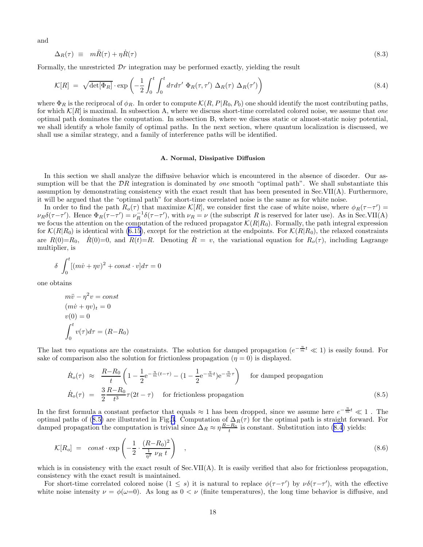<span id="page-17-0"></span>and

$$
\Delta_R(\tau) \equiv m\ddot{R}(\tau) + \eta \dot{R}(\tau) \tag{8.3}
$$

Formally, the unrestricted  $\mathcal{D}r$  integration may be performed exactly, yielding the result

$$
\mathcal{K}[R] = \sqrt{\det[\Phi_R]} \cdot \exp\left(-\frac{1}{2} \int_0^t \int_0^t d\tau d\tau' \, \Phi_R(\tau, \tau') \, \Delta_R(\tau) \, \Delta_R(\tau')\right) \tag{8.4}
$$

where  $\Phi_R$  is the reciprocal of  $\phi_R$ . In order to compute  $\mathcal{K}(R, P|R_0, P_0)$  one should identify the most contributing paths, for which  $\mathcal{K}[R]$  is maximal. In subsection A, where we discuss short-time correlated colored noise, we assume that one optimal path dominates the computation. In subsection B, where we discuss static or almost-static noisy potential, we shall identify a whole family of optimal paths. In the next section, where quantum localization is discussed, we shall use a similar strategy, and a family of interference paths will be identified.

#### A. Normal, Dissipative Diffusion

In this section we shall analyze the diffusive behavior which is encountered in the absence of disorder. Our assumption will be that the  $\mathcal{D}R$  integration is dominated by *one* smooth "optimal path". We shall substantiate this assumption by demonstrating consistency with the exact result that has been presented in Sec.VII(A). Furthermore, it will be argued that the "optimal path" for short-time correlated noise is the same as for white noise.

In order to find the path  $R_o(\tau)$  that maximize K[R], we consider first the case of white noise, where  $\phi_R(\tau-\tau') =$  $\nu_R \delta(\tau - \tau')$ . Hence  $\Phi_R(\tau - \tau') = \nu_R^{-1} \delta(\tau - \tau')$ , with  $\nu_R = \nu$  (the subscript R is reserved for later use). As in Sec.VII(A) we focus the attention on the computation of the reduced propagator  $\mathcal{K}(R|R_0)$ . Formally, the path integral expression for  $\mathcal{K}(R|R_0)$  is identical with ([6.15\)](#page-14-0), except for the restriction at the endpoints. For  $\mathcal{K}(R|R_0)$ , the relaxed constraints are  $R(0)=R_0$ ,  $R(0)=0$ , and  $R(t)=R$ . Denoting  $R = v$ , the variational equation for  $R_o(\tau)$ , including Lagrange multiplier, is

$$
\delta \int_0^t [(m\dot{v} + \eta v)^2 + const \cdot v] d\tau = 0
$$

one obtains

$$
m\ddot{v} - \eta^2 v = const
$$

$$
(m\dot{v} + \eta v)_t = 0
$$

$$
v(0) = 0
$$

$$
\int_0^t v(\tau) d\tau = (R - R_0)
$$

The last two equations are the constraints. The solution for damped propagation  $(e^{-\frac{\pi}{m}t} \ll 1)$  is easily found. For sake of comparison also the solution for frictionless propagation  $(\eta = 0)$  is displayed.

$$
\dot{R}_o(\tau) \approx \frac{R - R_0}{t} \left( 1 - \frac{1}{2} e^{-\frac{\eta}{m}(t-\tau)} - (1 - \frac{1}{2} e^{-\frac{\eta}{m}t}) e^{-\frac{\eta}{m}\tau} \right) \quad \text{for damped propagation}
$$
\n
$$
\dot{R}_o(\tau) = \frac{3}{2} \frac{R - R_0}{t^3} \tau (2t - \tau) \quad \text{for frictionless propagation}
$$
\n(8.5)

In the first formula a constant prefactor that equals  $\approx 1$  has been dropped, since we assume here  $e^{-\frac{n}{m}t} \ll 1$ . The optimal paths of (8.5) are illustrated in Fig[.3](#page-18-0). Computation of  $\Delta_R(\tau)$  for the optimal path is straight forward. For damped propagation the computation is trivial since  $\Delta_R \approx \eta \frac{R-R_0}{t}$  is constant. Substitution into (8.4) yields:

$$
\mathcal{K}[R_o] = const \cdot \exp\left(-\frac{1}{2} \cdot \frac{(R - R_0)^2}{\frac{1}{\eta^2} \nu_R t}\right) \quad , \tag{8.6}
$$

which is in consistency with the exact result of Sec.VII(A). It is easily verified that also for frictionless propagation, consistency with the exact result is maintained.

For short-time correlated colored noise  $(1 \leq s)$  it is natural to replace  $\phi(\tau-\tau')$  by  $\nu\delta(\tau-\tau')$ , with the effective white noise intensity  $\nu = \phi(\omega=0)$ . As long as  $0 < \nu$  (finite temperatures), the long time behavior is diffusive, and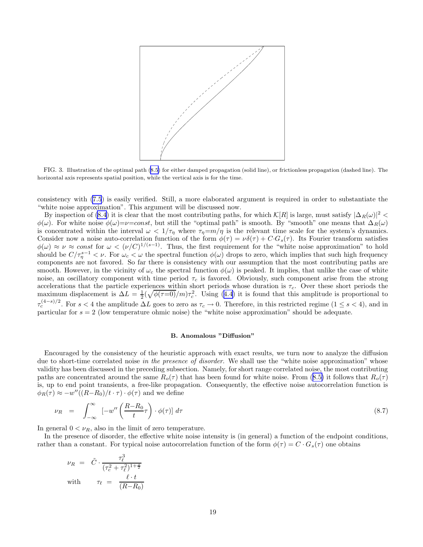<span id="page-18-0"></span>

FIG. 3. Illustration of the optimal path [\(8.5](#page-17-0)) for either damped propagation (solid line), or frictionless propagation (dashed line). The horizontal axis represents spatial position, while the vertical axis is for the time.

consistency with [\(7.5](#page-15-0)) is easily verified. Still, a more elaborated argument is required in order to substantiate the "white noise approximation". This argument will be discussed now.

By inspection of [\(8.4](#page-17-0)) it is clear that the most contributing paths, for which K[R] is large, must satisfy  $|\Delta_R(\omega)|^2$  $\phi(\omega)$ . For white noise  $\phi(\omega) = \nu = const$ , but still the "optimal path" is smooth. By "smooth" one means that  $\Delta_R(\omega)$ is concentrated within the interval  $\omega < 1/\tau_{\eta}$  where  $\tau_{\eta} = m/\eta$  is the relevant time scale for the system's dynamics. Consider now a noise auto-correlation function of the form  $\phi(\tau) = \nu \delta(\tau) + C \cdot G_s(\tau)$ . Its Fourier transform satisfies  $\phi(\omega) \approx \nu \approx const$  for  $\omega < (\nu/C)^{1/(s-1)}$ . Thus, the first requirement for the "white noise approximation" to hold should be  $C/\tau_{\eta}^{s-1} < \nu$ . For  $\omega_c < \omega$  the spectral function  $\phi(\omega)$  drops to zero, which implies that such high frequency components are not favored. So far there is consistency with our assumption that the most contributing paths are smooth. However, in the vicinity of  $\omega_c$  the spectral function  $\phi(\omega)$  is peaked. It implies, that unlike the case of white noise, an oscillatory component with time period  $\tau_c$  is favored. Obviously, such component arise from the strong accelerations that the particle experiences within short periods whose duration is  $\tau_c$ . Over these short periods the maximum displacement is  $\Delta L = \frac{1}{2}(\sqrt{\phi(\tau=0)}/m)\tau_c^2$ . Using ([4.4\)](#page-8-0) it is found that this amplitude is proportional to  $\tau_c^{(4-s)/2}$ . For  $s < 4$  the amplitude  $\Delta L$  goes to zero as  $\tau_c \to 0$ . Therefore, in this restricted regime  $(1 \le s < 4)$ , and in particular for  $s = 2$  (low temperature ohmic noise) the "white noise approximation" should be adequate.

### B. Anomalous "Diffusion"

Encouraged by the consistency of the heuristic approach with exact results, we turn now to analyze the diffusion due to short-time correlated noise in the presence of disorder. We shall use the "white noise approximation" whose validity has been discussed in the preceding subsection. Namely, for short range correlated noise, the most contributing paths are concentrated around the same  $R_o(\tau)$  that has been found for white noise. From ([8.5\)](#page-17-0) it follows that  $R_o(\tau)$ is, up to end point transients, a free-like propagation. Consequently, the effective noise autocorrelation function is  $\phi_R(\tau) \approx -w''((R-R_0)/t \cdot \tau) \cdot \phi(\tau)$  and we define

$$
\nu_R = \int_{-\infty}^{\infty} \left[ -w'' \left( \frac{R - R_0}{t} \tau \right) \cdot \phi(\tau) \right] d\tau \tag{8.7}
$$

In general  $0 < \nu_R$ , also in the limit of zero temperature.

In the presence of disorder, the effective white noise intensity is (in general) a function of the endpoint conditions, rather than a constant. For typical noise autocorrelation function of the form  $\phi(\tau) = C \cdot G_s(\tau)$  one obtains

$$
\nu_R = \tilde{C} \cdot \frac{\tau_\ell^3}{(\tau_c^2 + \tau_\ell^2)^{1 + \frac{s}{2}}}
$$
  
with 
$$
\tau_\ell = \frac{\ell \cdot t}{(R - R_0)}
$$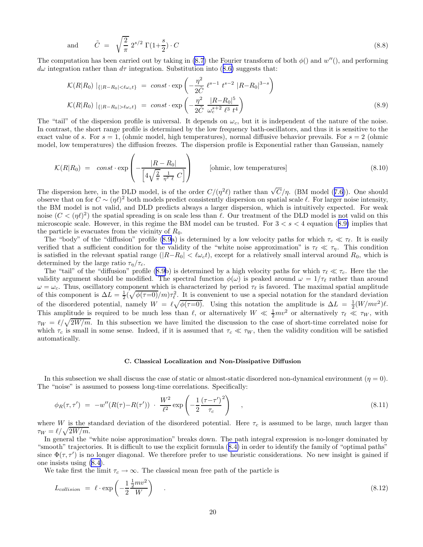and 
$$
\tilde{C} = \sqrt{\frac{2}{\pi}} 2^{s/2} \Gamma(1 + \frac{s}{2}) \cdot C
$$
 (8.8)

The computation has been carried out by taking in [\(8.7](#page-18-0)) the Fourier transform of both  $\phi()$  and  $w''()$ , and performing  $d\omega$  integration rather than  $d\tau$  integration. Substitution into ([8.6\)](#page-17-0) suggests that:

$$
\mathcal{K}(R|R_0) \mid_{\{|R-R_0| < \ell \omega_c t\}} = const \cdot \exp\left(-\frac{\eta^2}{2\tilde{C}} \ell^{s-1} t^{s-2} |R-R_0|^{3-s}\right)
$$
\n
$$
\mathcal{K}(R|R_0) \mid_{\{|R-R_0| > \ell \omega_c t\}} = const \cdot \exp\left(-\frac{\eta^2}{2\tilde{C}} \frac{|R-R_0|^5}{\omega_c^{s+2} \ell^3 t^4}\right) \tag{8.9}
$$

The "tail" of the dispersion profile is universal. It depends on  $\omega_c$ , but it is independent of the nature of the noise. In contrast, the short range profile is determined by the low frequency bath-oscillators, and thus it is sensitive to the exact value of s. For  $s = 1$ , (ohmic model, high temperatures), normal diffusive behavior prevails. For  $s = 2$  (ohmic model, low temperatures) the diffusion freezes. The dispersion profile is Exponential rather than Gaussian, namely

$$
\mathcal{K}(R|R_0) = const \cdot \exp\left(-\frac{|R - R_0|}{\left[4\sqrt{\frac{2}{\pi}} \frac{1}{\eta^2 \ell} C\right]}\right) \qquad \text{[ohmic, low temperatures]} \tag{8.10}
$$

The dispersion here, in the DLD model, is of the order  $C/(\eta^2 \ell)$  rather than  $\sqrt{C}/\eta$ . (BM model ([7.6\)](#page-15-0)). One should observe that on for  $C \sim (\eta \ell)^2$  both models predict consistently dispersion on spatial scale  $\ell$ . For larger noise intensity, the BM model is not valid, and DLD predicts always a larger dispersion, which is intuitively expected. For weak noise  $(C < (\eta \ell)^2)$  the spatial spreading is on scale less than  $\ell$ . Our treatment of the DLD model is not valid on this microscopic scale. However, in this regime the BM model can be trusted. For  $3 < s < 4$  equation (8.9) implies that the particle is evacuates from the vicinity of  $R_0$ .

The "body" of the "diffusion" profile (8.9a) is determined by a low velocity paths for which  $\tau_c \ll \tau_{\ell}$ . It is easily verified that a sufficient condition for the validity of the "white noise approximation" is  $\tau_\ell \ll \tau_\eta$ . This condition is satisfied in the relevant spatial range ( $|R-R_0| < \ell \omega_c t$ ), except for a relatively small interval around  $R_0$ , which is determined by the large ratio  $\tau_n/\tau_c$ .

The "tail" of the "diffusion" profile (8.9b) is determined by a high velocity paths for which  $\tau_\ell \ll \tau_c$ . Here the the validity argument should be modified. The spectral function  $\phi(\omega)$  is peaked around  $\omega = 1/\tau_{\ell}$  rather than around  $\omega = \omega_c$ . Thus, oscillatory component which is characterized by period  $\tau_{\ell}$  is favored. The maximal spatial amplitude of this component is  $\Delta L = \frac{1}{2}(\sqrt{\phi(\tau=0)}/m)\tau_{\ell}^2$ . It is convenient to use a special notation for the standard deviation of the disordered potential, namely  $W = \ell \sqrt{\phi(\tau=0)}$ . Using this notation the amplitude is  $\Delta L = \frac{1}{2}(W/mv^2)\ell$ . This amplitude is required to be much less than  $\ell$ , or alternatively  $W \ll \frac{1}{2}mv^2$  or alternatively  $\tau_{\ell} \ll \tau_W$ , with  $\tau_W = \ell/\sqrt{2W/m}$ . In this subsection we have limited the discussion to the case of short-time correlated noise for which  $\tau_c$  is small in some sense. Indeed, if it is assumed that  $\tau_c \ll \tau_W$ , then the validity condition will be satisfied automatically.

# C. Classical Localization and Non-Dissipative Diffusion

In this subsection we shall discuss the case of static or almost-static disordered non-dynamical environment  $(\eta = 0)$ . The "noise" is assumed to possess long-time correlations. Specifically:

$$
\phi_R(\tau, \tau') = -w''(R(\tau) - R(\tau')) \cdot \frac{W^2}{\ell^2} \exp\left(-\frac{1}{2} \frac{(\tau - \tau')^2}{\tau_c}\right) , \qquad (8.11)
$$

where W is the standard deviation of the disordered potential. Here  $\tau_c$  is assumed to be large, much larger than  $\tau_W = \ell/\sqrt{2W/m}.$ 

In general the "white noise approximation" breaks down. The path integral expression is no-longer dominated by "smooth" trajectories. It is difficult to use the explicit formula ([8.4\)](#page-17-0) in order to identify the family of "optimal paths" since  $\Phi(\tau, \tau')$  is no longer diagonal. We therefore prefer to use heuristic considerations. No new insight is gained if one insists using [\(8.4](#page-17-0)).

We take first the limit  $\tau_c \to \infty$ . The classical mean free path of the particle is

$$
L_{collision} = \ell \cdot \exp\left(-\frac{1}{2}\frac{\frac{1}{2}mv^2}{W}\right) \quad . \tag{8.12}
$$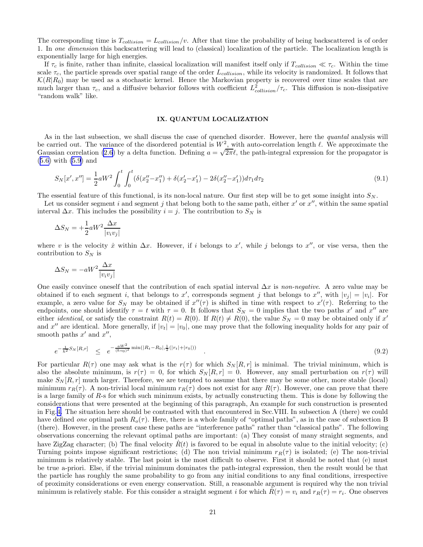<span id="page-20-0"></span>The corresponding time is  $T_{collision} = L_{collision}/v$ . After that time the probability of being backscattered is of order 1. In one dimension this backscattering will lead to (classical) localization of the particle. The localization length is exponentially large for high energies.

If  $\tau_c$  is finite, rather than infinite, classical localization will manifest itself only if  $T_{collision} \ll \tau_c$ . Within the time scale  $\tau_c$ , the particle spreads over spatial range of the order  $L_{collision}$ , while its velocity is randomized. It follows that  $\mathcal{K}(R|R_0)$  may be used as a stochastic kernel. Hence the Markovian property is recovered over time scales that are much larger than  $\tau_c$ , and a diffusive behavior follows with coefficient  $L_{collision}^2/\tau_c$ . This diffusion is non-dissipative "random walk" like.

## IX. QUANTUM LOCALIZATION

As in the last subsection, we shall discuss the case of quenched disorder. However, here the *quantal* analysis will be carried out. The variance of the disordered potential is  $W^2$ , with auto-correlation length  $\ell$ . We approximate the Gaussian correlation [\(2.6](#page-3-0)) by a delta function. Defining  $a = \sqrt{2\pi} \ell$ , the path-integral expression for the propagator is ([5.6\)](#page-10-0) with [\(5.9](#page-11-0)) and

$$
S_N[x',x''] = \frac{1}{2}aW^2 \int_0^t \int_0^t (\delta(x_2'' - x_1'') + \delta(x_2' - x_1') - 2\delta(x_2'' - x_1'))d\tau_1 d\tau_2
$$
\n(9.1)

The essential feature of this functional, is its non-local nature. Our first step will be to get some insight into  $S_N$ .

Let us consider segment i and segment j that belong both to the same path, either  $x'$  or  $x''$ , within the same spatial interval  $\Delta x$ . This includes the possibility  $i = j$ . The contribution to  $S_N$  is

$$
\Delta S_N = +\frac{1}{2} aW^2 \frac{\Delta x}{|v_i v_j|}
$$

where v is the velocity x within  $\Delta x$ . However, if i belongs to x', while j belongs to x'', or vise versa, then the contribution to  $S_N$  is

$$
\Delta S_N = -aW^2 \frac{\Delta x}{|v_i v_j|}
$$

One easily convince oneself that the contribution of each spatial interval  $\Delta x$  is non-negative. A zero value may be obtained if to each segment i, that belongs to x', corresponds segment j that belongs to x'', with  $|v_j| = |v_i|$ . For example, a zero value for  $S_N$  may be obtained if  $x''(\tau)$  is shifted in time with respect to  $x'(\tau)$ . Referring to the endpoints, one should identify  $\tau = t$  with  $\tau = 0$ . It follows that  $S_N = 0$  implies that the two paths x' and x'' are either *identical*, or satisfy the constraint  $R(t) = R(0)$ . If  $R(t) \neq R(0)$ , the value  $S_N = 0$  may be obtained only if x' and x'' are identical. More generally, if  $|v_t| = |v_0|$ , one may prove that the following inequality holds for any pair of smooth paths  $x'$  and  $x''$ ,

$$
e^{-\frac{1}{h^2}S_N[R,r]} \leq e^{-\frac{aW^2}{(h v_0)^2} \min(|R_t - R_0|, \frac{1}{2}(|r_t| + |r_0|))} \tag{9.2}
$$

For particular  $R(\tau)$  one may ask what is the  $r(\tau)$  for which  $S_N[R, r]$  is minimal. The trivial minimum, which is also the absolute minimum, is  $r(\tau) = 0$ , for which  $S_N[R, r] = 0$ . However, any small perturbation on  $r(\tau)$  will make  $S_N[R, r]$  much larger. Therefore, we are tempted to assume that there may be some other, more stable (local) minimum  $r_R(\tau)$ . A non-trivial local minimum  $r_R(\tau)$  does not exist for any  $R(\tau)$ . However, one can prove that there is a large family of  $R$ -s for which such minimum exists, by actually constructing them. This is done by following the considerations that were presented at the beginning of this paragraph, An example for such construction is presented in Fig.[4.](#page-21-0) The situation here should be contrasted with that encountered in Sec.VIII. In subsection A (there) we could have defined one optimal path  $R_o(\tau)$ . Here, there is a whole family of "optimal paths", as in the case of subsection B (there). However, in the present case these paths are "interference paths" rather than "classical paths". The following observations concerning the relevant optimal paths are important: (a) They consist of many straight segments, and have ZigZag character; (b) The final velocity  $\dot{R}(t)$  is favored to be equal in absolute value to the initial velocity; (c) Turning points impose significant restrictions; (d) The non trivial minimum  $r_R(\tau)$  is isolated; (e) The non-trivial minimum is relatively stable. The last point is the most difficult to observe. First it should be noted that (e) must be true a-priori. Else, if the trivial minimum dominates the path-integral expression, then the result would be that the particle has roughly the same probability to go from any initial conditions to any final conditions, irrespective of proximity considerations or even energy conservation. Still, a reasonable argument is required why the non trivial minimum is relatively stable. For this consider a straight segment i for which  $\tilde{R}(\tau) = v_i$  and  $r_R(\tau) = r_i$ . One observes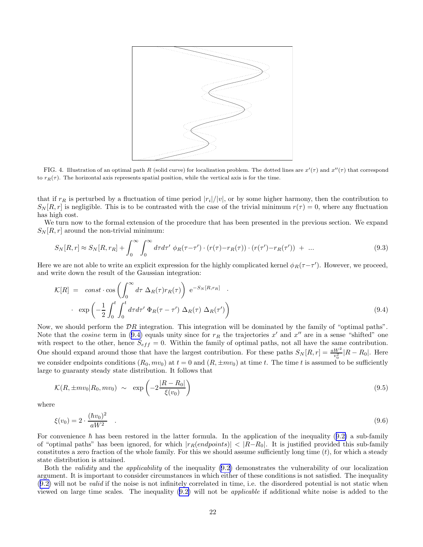<span id="page-21-0"></span>

FIG. 4. Illustration of an optimal path R (solid curve) for localization problem. The dotted lines are  $x'(\tau)$  and  $x''(\tau)$  that correspond to  $r_R(\tau)$ . The horizontal axis represents spatial position, while the vertical axis is for the time.

that if  $r_R$  is perturbed by a fluctuation of time period  $|r_i|/|v|$ , or by some higher harmony, then the contribution to  $S_N[R, r]$  is negligible. This is to be contrasted with the case of the trivial minimum  $r(\tau) = 0$ , where any fluctuation has high cost.

We turn now to the formal extension of the procedure that has been presented in the previous section. We expand  $S_N[R, r]$  around the non-trivial minimum:

$$
S_N[R,r] \approx S_N[R,r_R] + \int_0^\infty \int_0^\infty d\tau d\tau' \phi_R(\tau - \tau') \cdot (r(\tau) - r_R(\tau)) \cdot (r(\tau') - r_R(\tau')) + \dots \tag{9.3}
$$

Here we are not able to write an explicit expression for the highly complicated kernel  $\phi_R(\tau-\tau')$ . However, we proceed, and write down the result of the Gaussian integration:

$$
\mathcal{K}[R] = \text{const} \cdot \cos \left( \int_0^\infty d\tau \, \Delta_R(\tau) r_R(\tau) \right) e^{-S_N[R, r_R]} \cdot \exp \left( -\frac{1}{2} \int_0^t \int_0^t d\tau d\tau' \, \Phi_R(\tau - \tau') \, \Delta_R(\tau) \, \Delta_R(\tau') \right) \tag{9.4}
$$

Now, we should perform the  $\mathcal{D}R$  integration. This integration will be dominated by the family of "optimal paths". Note that the *cosine* term in (9.4) equals unity since for  $r_R$  the trajectories  $x'$  and  $x''$  are in a sense "shifted" one with respect to the other, hence  $S_{eff} = 0$ . Within the family of optimal paths, not all have the same contribution. One should expand around those that have the largest contribution. For these paths  $S_N[R,r] = \frac{aW^2}{v_0^2}|R - R_0|$ . Here we consider endpoints conditions  $(R_0, mv_0)$  at  $t = 0$  and  $(R, \pm mv_0)$  at time t. The time t is assumed to be sufficiently large to guaranty steady state distribution. It follows that

$$
\mathcal{K}(R, \pm mv_0|R_0, mv_0) \sim \exp\left(-2\frac{|R - R_0|}{\xi(v_0)}\right) \tag{9.5}
$$

where

$$
\xi(v_0) = 2 \cdot \frac{(\hbar v_0)^2}{aW^2} \tag{9.6}
$$

For convenience  $\hbar$  has been restored in the latter formula. In the application of the inequality ([9.2\)](#page-20-0) a sub-family of "optimal paths" has been ignored, for which  $|r_R(endpoints)| < |R-R_0|$ . It is justified provided this sub-family constitutes a zero fraction of the whole family. For this we should assume sufficiently long time  $(t)$ , for which a steady state distribution is attained.

Both the validity and the applicability of the inequality [\(9.2](#page-20-0)) demonstrates the vulnerability of our localization argument. It is important to consider circumstances in which either of these conditions is not satisfied. The inequality ([9.2\)](#page-20-0) will not be valid if the noise is not infinitely correlated in time, i.e. the disordered potential is not static when viewed on large time scales. The inequality ([9.2\)](#page-20-0) will not be applicable if additional white noise is added to the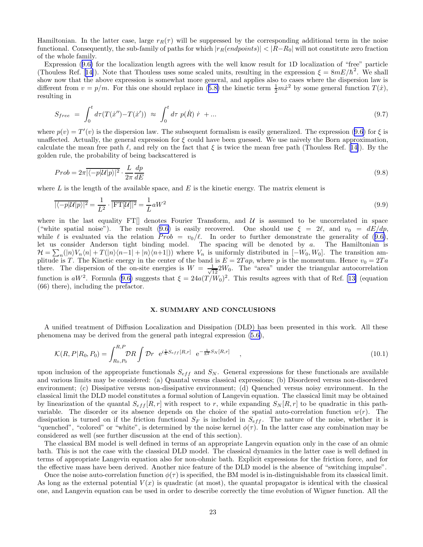Hamiltonian. In the latter case, large  $r_R(\tau)$  will be suppressed by the corresponding additional term in the noise functional. Consequently, the sub-family of paths for which  $|r_R(endpoints)| < |R-R_0|$  will not constitute zero fraction of the whole family.

Expression ([9.6\)](#page-21-0) for the localization length agrees with the well know result for 1D localization of "free" particle (Thouless Ref. [[14\]](#page-25-0)). Note that Thouless uses some scaled units, resulting in the expression  $\xi = 8mE/\hbar^2$ . We shall show now that the above expression is somewhat more general, and applies also to cases where the dispersion law is different from  $v = p/m$ . For this one should replace in ([5.8\)](#page-11-0) the kinetic term  $\frac{1}{2}m\dot{x}^2$  by some general function  $T(\dot{x})$ , resulting in

$$
S_{free} = \int_0^t d\tau (T(\dot{x}'') - T(\dot{x}')) \approx \int_0^t d\tau \ p(\dot{R}) \ \dot{r} \ + \dots \tag{9.7}
$$

where  $p(v) = T'(v)$  is the dispersion law. The subsequent formalism is easily generalized. The expression [\(9.6\)](#page-21-0) for  $\xi$  is unaffected. Actually, the general expression for  $\xi$  could have been guessed. We use naively the Born approximation, calculate the mean free path  $\ell$ , and rely on the fact that  $\xi$  is twice the mean free path (Thouless Ref. [[14\]](#page-25-0)). By the golden rule, the probability of being backscattered is

$$
Prob = 2\pi \overline{|\langle -p|U|p\rangle|^2} \cdot \frac{L}{2\pi} \frac{dp}{dE}
$$
\n
$$
(9.8)
$$

where  $L$  is the length of the available space, and  $E$  is the kinetic energy. The matrix element is

$$
\overline{|\langle -p|\mathcal{U}|p\rangle|^2} = \frac{1}{L^2} \cdot \overline{|\mathrm{FT}[\mathcal{U}]|^2} = \frac{1}{L} aW^2 \tag{9.9}
$$

where in the last equality  $\text{FT}$  denotes Fourier Transform, and U is assumed to be uncorrelated in space ("white spatial noise"). The result ([9.6\)](#page-21-0) is easily recovered. One should use  $\xi = 2\ell$ , and  $v_0 = dE/dp$ , while  $\ell$  is evaluated via the relation  $Prob = v_0/\ell$ . In order to further demonstrate the generality of ([9.6\)](#page-21-0), let us consider Anderson tight binding model. The spacing will be denoted by a. The Hamiltonian is  $\mathcal{H} = \sum_n (|n\rangle V_n \langle n| + T(|n\rangle \langle n-1| + |n\rangle \langle n+1|))$  where  $V_n$  is uniformly distributed in  $[-W_0, W_0]$ . The transition amplitude is T. The Kinetic energy in the center of the band is  $E = 2Tap$ , where p is the momentum. Hence  $v_0 = 2Ta$ there. The dispersion of the on-site energies is  $W = \frac{1}{\sqrt{1}}$  $\frac{1}{12}$ 2 $W_0$ . The "area" under the triangular autocorrelation function is  $aW^2$ . Formula ([9.6\)](#page-21-0) suggests that  $\xi = 24a(T/W_0)^2$ . This results agrees with that of Ref. [\[13\]](#page-25-0) (equation (66) there), including the prefactor.

### X. SUMMARY AND CONCLUSIONS

A unified treatment of Diffusion Localization and Dissipation (DLD) has been presented in this work. All these phenomena may be derived from the general path integral expression ([5.6\)](#page-10-0),

$$
\mathcal{K}(R, P|R_0, P_0) = \int_{R_0, P_0}^{R, P} \mathcal{D}R \int \mathcal{D}r \ e^{i\frac{1}{\hbar}S_{eff}[R, r]} \ e^{-\frac{1}{\hbar^2}S_N[R, r]}, \qquad (10.1)
$$

upon inclusion of the appropriate functionals  $S_{eff}$  and  $S_N$ . General expressions for these functionals are available and various limits may be considered: (a) Quantal versus classical expressions; (b) Disordered versus non-disordered environment; (c) Dissipative versus non-dissipative environment; (d) Quenched versus noisy environment. In the classical limit the DLD model constitutes a formal solution of Langevin equation. The classical limit may be obtained by linearization of the quantal  $S_{eff}[R, r]$  with respect to r, while expanding  $S_N[R, r]$  to be quadratic in this pathvariable. The disorder or its absence depends on the choice of the spatial auto-correlation function  $w(r)$ . The dissipation is turned on if the friction functional  $S_F$  is included in  $S_{eff}$ . The nature of the noise, whether it is "quenched", "colored" or "white", is determined by the noise kernel  $\phi(\tau)$ . In the latter case any combination may be considered as well (see further discussion at the end of this section).

The classical BM model is well defined in terms of an appropriate Langevin equation only in the case of an ohmic bath. This is not the case with the classical DLD model. The classical dynamics in the latter case is well defined in terms of appropriate Langevin equation also for non-ohmic bath. Explicit expressions for the friction force, and for the effective mass have been derived. Another nice feature of the DLD model is the absence of "switching impulse".

Once the noise auto-correlation function  $\phi(\tau)$  is specified, the BM model is in-distinguishable from its classical limit. As long as the external potential  $V(x)$  is quadratic (at most), the quantal propagator is identical with the classical one, and Langevin equation can be used in order to describe correctly the time evolution of Wigner function. All the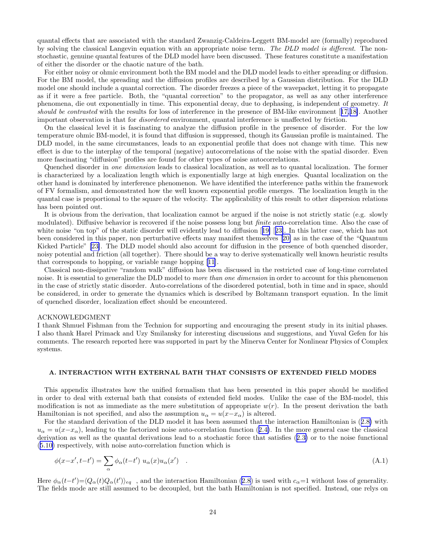<span id="page-23-0"></span>quantal effects that are associated with the standard Zwanzig-Caldeira-Leggett BM-model are (formally) reproduced by solving the classical Langevin equation with an appropriate noise term. The DLD model is different. The nonstochastic, genuine quantal features of the DLD model have been discussed. These features constitute a manifestation of either the disorder or the chaotic nature of the bath.

For either noisy or ohmic environment both the BM model and the DLD model leads to either spreading or diffusion. For the BM model, the spreading and the diffusion profiles are described by a Gaussian distribution. For the DLD model one should include a quantal correction. The disorder freezes a piece of the wavepacket, letting it to propagate as if it were a free particle. Both, the "quantal correction" to the propagator, as well as any other interference phenomena, die out exponentially in time. This exponential decay, due to dephasing, is independent of geometry. It should be contrasted with the results for loss of interference in the presence of BM-like environment [[17,18\]](#page-25-0). Another important observation is that for disordered environment, quantal interference is unaffected by friction.

On the classical level it is fascinating to analyze the diffusion profile in the presence of disorder. For the low temperature ohmic BM-model, it is found that diffusion is suppressed, though its Gaussian profile is maintained. The DLD model, in the same circumstances, leads to an exponential profile that does not change with time. This new effect is due to the interplay of the temporal (negative) autocorrelations of the noise with the spatial disorder. Even more fascinating "diffusion" profiles are found for other types of noise autocorrelations.

Quenched disorder in one dimension leads to classical localization, as well as to quantal localization. The former is characterized by a localization length which is exponentially large at high energies. Quantal localization on the other hand is dominated by interference phenomenon. We have identified the interference paths within the framework of FV formalism, and demonstrated how the well known exponential profile emerges. The localization length in the quantal case is proportional to the square of the velocity. The applicability of this result to other dispersion relations has been pointed out.

It is obvious from the derivation, that localization cannot be argued if the noise is not strictly static (e.g. slowly modulated). Diffusive behavior is recovered if the noise possess long but *finite* auto-correlation time. Also the case of white noise "on top" of the static disorder will evidently lead to diffusion [[19\]](#page-25-0) [[23\]](#page-25-0). In this latter case, which has not been considered in this paper, non perturbative effects may manifest themselves [\[20\]](#page-25-0) as in the case of the "Quantum Kicked Particle" [\[23\]](#page-25-0). The DLD model should also account for diffusion in the presence of both quenched disorder, noisy potential and friction (all together). There should be a way to derive systematically well known heuristic results that corresponds to hopping, or variable range hopping [[11](#page-25-0)].

Classical non-dissipative "random walk" diffusion has been discussed in the restricted case of long-time correlated noise. It is essential to generalize the DLD model to *more than one dimension* in order to account for this phenomenon in the case of strictly static disorder. Auto-correlations of the disordered potential, both in time and in space, should be considered, in order to generate the dynamics which is described by Boltzmann transport equation. In the limit of quenched disorder, localization effect should be encountered.

## ACKNOWLEDGMENT

I thank Shmuel Fishman from the Technion for supporting and encouraging the present study in its initial phases. I also thank Harel Primack and Uzy Smilansky for interesting discussions and suggestions, and Yuval Gefen for his comments. The research reported here was supported in part by the Minerva Center for Nonlinear Physics of Complex systems.

# A. INTERACTION WITH EXTERNAL BATH THAT CONSISTS OF EXTENDED FIELD MODES

This appendix illustrates how the unified formalism that has been presented in this paper should be modified in order to deal with external bath that consists of extended field modes. Unlike the case of the BM-model, this modification is not as immediate as the mere substitution of appropriate  $w(r)$ . In the present derivation the bath Hamiltonian is not specified, and also the assumption  $u_{\alpha} = u(x - x_{\alpha})$  is altered.

For the standard derivation of the DLD model it has been assumed that the interaction Hamiltonian is ([2.8\)](#page-3-0) with  $u_{\alpha} = u(x - x_{\alpha})$ , leading to the factorized noise auto-correlation function ([2.4\)](#page-3-0). In the more general case the classical derivation as well as the quantal derivations lead to a stochastic force that satisfies ([2.3\)](#page-2-0) or to the noise functional ([5.10\)](#page-11-0) respectively, with noise auto-correlation function which is

$$
\phi(x-x',t-t') = \sum_{\alpha} \phi_{\alpha}(t-t') u_{\alpha}(x) u_{\alpha}(x')
$$
 (A.1)

Here  $\phi_{\alpha}(t-t') = \langle Q_{\alpha}(t)Q_{\alpha}(t')\rangle_{eq}$ , and the interaction Hamiltonian [\(2.8\)](#page-3-0) is used with  $c_{\alpha}=1$  without loss of generality. The fields mode are still assumed to be decoupled, but the bath Hamiltonian is not specified. Instead, one relys on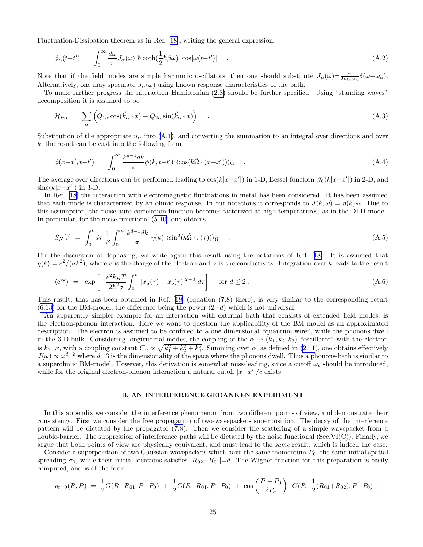<span id="page-24-0"></span>Fluctuation-Dissipation theorem as in Ref. [\[18\]](#page-25-0), writing the general expression:

$$
\phi_{\alpha}(t-t') = \int_0^{\infty} \frac{d\omega}{\pi} J_{\alpha}(\omega) \ \hbar \coth(\frac{1}{2}\hbar \beta \omega) \ \cos[\omega(t-t')] \tag{A.2}
$$

Note that if the field modes are simple harmonic oscillators, then one should substitute  $J_{\alpha}(\omega) = \frac{\pi}{2m_{\alpha}\omega_{\alpha}}\delta(\omega - \omega_{\alpha})$ . Alternatively, one may speculate  $J_{\alpha}(\omega)$  using known response characteristics of the bath.

To make further progress the interaction Hamiltonian ([2.8\)](#page-3-0) should be further specified. Using "standing waves" decomposition it is assumed to be

$$
\mathcal{H}_{int} = \sum_{\alpha} \left( Q_{1\alpha} \cos(\vec{k}_{\alpha} \cdot x) + Q_{2\alpha} \sin(\vec{k}_{\alpha} \cdot x) \right) \quad . \tag{A.3}
$$

Substitution of the appropriate  $u_{\alpha}$  into ([A.1](#page-23-0)), and converting the summation to an integral over directions and over  $k$ , the result can be cast into the following form

$$
\phi(x-x',t-t') = \int_0^\infty \frac{k^{d-1}dk}{\pi} \phi(k,t-t') \langle \cos(k\hat{\Omega} \cdot (x-x')) \rangle_{\Omega} \quad . \tag{A.4}
$$

The average over directions can be performed leading to  $cos(k|x-x'|)$  in 1-D, Bessel function  $\mathcal{J}_0(k|x-x'|)$  in 2-D, and  $\operatorname{sinc}(k|x-x'|)$  in 3-D.

In Ref. [\[18](#page-25-0)] the interaction with electromagnetic fluctuations in metal has been considered. It has been assumed that each mode is characterized by an ohmic response. In our notations it corresponds to  $J(k,\omega) = \eta(k) \cdot \omega$ . Due to this assumption, the noise auto-correlation function becomes factorized at high temperatures, as in the DLD model. In particular, for the noise functional [\(5.10](#page-11-0)) one obtains

$$
S_N[r] = \int_0^t d\tau \frac{1}{\beta} \int_0^\infty \frac{k^{d-1} dk}{\pi} \eta(k) \langle \sin^2(k\hat{\Omega} \cdot r(\tau)) \rangle_{\Omega} \tag{A.5}
$$

For the discussion of dephasing, we write again this result using the notations of Ref. [[18\]](#page-25-0). It is assumed that  $\eta(k) = e^2/(\sigma k^2)$ , where e is the charge of the electron and  $\sigma$  is the conductivity. Integration over k leads to the result

$$
\langle e^{i\varphi} \rangle = \exp \left[ -\frac{e^2 k_B T}{2\hbar^2 \sigma} \int_0^t |x_a(\tau) - x_b(\tau)|^{2-d} d\tau \right] \quad \text{for } d \le 2.
$$
 (A.6)

This result, that has been obtained in Ref. [[18\]](#page-25-0) (equation (7.8) there), is very similar to the corresponding result  $(6.13)$  $(6.13)$  for the BM-model, the difference being the power  $(2-d)$  which is not universal.

An apparently simpler example for an interaction with external bath that consists of extended field modes, is the electron-phonon interaction. Here we want to question the applicability of the BM model as an approximated description. The electron is assumed to be confined to a one dimensional "quantum wire", while the phonons dwell in the 3-D bulk. Considering longitudinal modes, the coupling of the  $\alpha \to (k_1, k_2, k_3)$  "oscillator" with the electron is  $k_1 \cdot x$ , with a coupling constant  $C_\alpha \propto \sqrt{k_1^2 + k_2^2 + k_3^2}$ . Summing over  $\alpha$ , as defined in [\(2.11](#page-3-0)), one obtains effectively  $J(\omega) \propto \omega^{d+2}$  where  $d=3$  is the dimensionality of the space where the phonons dwell. Thus a phonons-bath is similar to a superohmic BM-model. However, this derivation is somewhat miss-leading, since a cutoff  $\omega_c$  should be introduced, while for the original electron-phonon interaction a natural cutoff  $|x-x'|/c$  exists.

# B. AN INTERFERENCE GEDANKEN EXPERIMENT

In this appendix we consider the interference phenomenon from two different points of view, and demonstrate their consistency. First we consider the free propagation of two-wavepackets superposition. The decay of the interference pattern will be dictated by the propagator [\(7.8](#page-16-0)). Then we consider the scattering of a simple wavepacket from a double-barrier. The suppression of interference paths will be dictated by the noise functional (Sec.VI(C)). Finally, we argue that both points of view are physically equivalent, and must lead to the same result, which is indeed the case.

Consider a superposition of two Gaussian wavepackets which have the same momentum  $P_0$ , the same initial spatial spreading  $\sigma_0$ , while their initial locations satisfies  $|R_{02}-R_{01}|=d$ . The Wigner function for this preparation is easily computed, and is of the form

$$
\rho_{t=0}(R,P) = \frac{1}{2}G(R-R_{01}, P-P_0) + \frac{1}{2}G(R-R_{01}, P-P_0) + \cos\left(\frac{P-P_0}{\delta P_c}\right) \cdot G(R-\frac{1}{2}(R_{01}+R_{02}), P-P_0) ,
$$